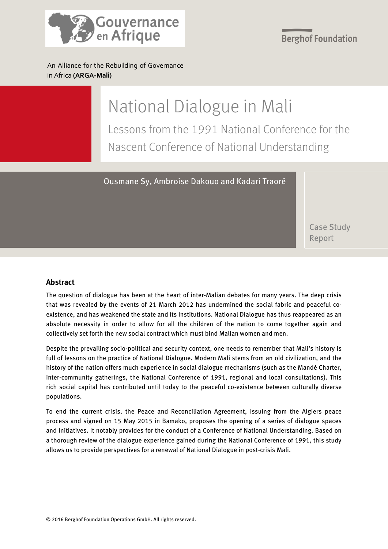

**Berghof Foundation** 

An Alliance for the Rebuilding of Governance in Africa **(ARGA-Mali)**

# National Dialogue in Mali

Lessons from the 1991 National Conference for the Nascent Conference of National Understanding

Ousmane Sy, Ambroise Dakouo and Kadari Traoré

 Case Study Report

#### **Abstract**

The question of dialogue has been at the heart of inter-Malian debates for many years. The deep crisis that was revealed by the events of 21 March 2012 has undermined the social fabric and peaceful coexistence, and has weakened the state and its institutions. National Dialogue has thus reappeared as an absolute necessity in order to allow for all the children of the nation to come together again and collectively set forth the new social contract which must bind Malian women and men.

Despite the prevailing socio-political and security context, one needs to remember that Mali's history is full of lessons on the practice of National Dialogue. Modern Mali stems from an old civilization, and the history of the nation offers much experience in social dialogue mechanisms (such as the Mandé Charter, inter-community gatherings, the National Conference of 1991, regional and local consultations). This rich social capital has contributed until today to the peaceful co-existence between culturally diverse populations.

To end the current crisis, the Peace and Reconciliation Agreement, issuing from the Algiers peace process and signed on 15 May 2015 in Bamako, proposes the opening of a series of dialogue spaces and initiatives. It notably provides for the conduct of a Conference of National Understanding. Based on a thorough review of the dialogue experience gained during the National Conference of 1991, this study allows us to provide perspectives for a renewal of National Dialogue in post-crisis Mali.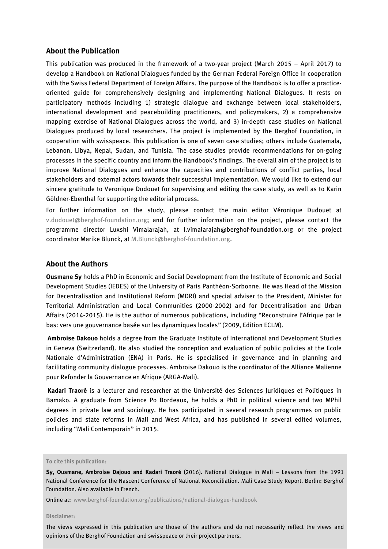#### **About the Publication**

This publication was produced in the framework of a two-year project (March 2015 – April 2017) to develop a Handbook on National Dialogues funded by the German Federal Foreign Office in cooperation with the Swiss Federal Department of Foreign Affairs. The purpose of the Handbook is to offer a practiceoriented guide for comprehensively designing and implementing National Dialogues. It rests on participatory methods including 1) strategic dialogue and exchange between local stakeholders, international development and peacebuilding practitioners, and policymakers, 2) a comprehensive mapping exercise of National Dialogues across the world, and 3) in-depth case studies on National Dialogues produced by local researchers. The project is implemented by the Berghof Foundation, in cooperation with swisspeace. This publication is one of seven case studies; others include Guatemala, Lebanon, Libya, Nepal, Sudan, and Tunisia. The case studies provide recommendations for on-going processes in the specific country and inform the Handbook's findings. The overall aim of the project is to improve National Dialogues and enhance the capacities and contributions of conflict parties, local stakeholders and external actors towards their successful implementation. We would like to extend our sincere gratitude to Veronique Dudouet for supervising and editing the case study, as well as to Karin Göldner-Ebenthal for supporting the editorial process.

For further information on the study, please contact the main editor Véronique Dudouet at [v.dudouet@berghof-foundation.org;](mailto:v.dudouet@berghof-foundation.org) and for further information on the project, please contact the programme director Luxshi Vimalarajah, at l.vimalarajah@berghof-foundation.org or the project coordinator Marike Blunck, at [M.Blunck@berghof-foundation.org.](mailto:M.Blunck@berghof-foundation.org)

#### **About the Authors**

**Ousmane Sy** holds a PhD in Economic and Social Development from the Institute of Economic and Social Development Studies (IEDES) of the University of Paris Panthéon-Sorbonne. He was Head of the Mission for Decentralisation and Institutional Reform (MDRI) and special adviser to the President, Minister for Territorial Administration and Local Communities (2000-2002) and for Decentralisation and Urban Affairs (2014-2015). He is the author of numerous publications, including "Reconstruire l'Afrique par le bas: vers une gouvernance basée sur les dynamiques locales" (2009, Edition ECLM).

**Ambroise Dakouo** holds a degree from the Graduate Institute of International and Development Studies in Geneva (Switzerland). He also studied the conception and evaluation of public policies at the Ecole Nationale d'Administration (ENA) in Paris. He is specialised in governance and in planning and facilitating community dialogue processes. Ambroise Dakouo is the coordinator of the Alliance Malienne pour Refonder la Gouvernance en Afrique (ARGA-Mali).

**Kadari Traoré** is a lecturer and researcher at the Université des Sciences Juridiques et Politiques in Bamako. A graduate from Science Po Bordeaux, he holds a PhD in political science and two MPhil degrees in private law and sociology. He has participated in several research programmes on public policies and state reforms in Mali and West Africa, and has published in several edited volumes, including "Mali Contemporain" in 2015.

#### **To cite this publication:**

Online at: [www.berghof-foundation.org/publications/national-dialogue-handbook](http://www.berghof-foundation.org/publications/national-dialogue-handbook)

#### © 2016 Berghof Foundation Operations GmbH. All rights reserved. **Disclaimer:**

The views expressed in this publication are those of the authors and do not necessarily reflect the views and opinions of the Berghof Foundation and swisspeace or their project partners.

**Sy, Ousmane, Ambroise Dajouo and Kadari Traoré** (2016). National Dialogue in Mali – Lessons from the 1991 National Conference for the Nascent Conference of National Reconciliation. Mali Case Study Report. Berlin: Berghof Foundation. Also available in French.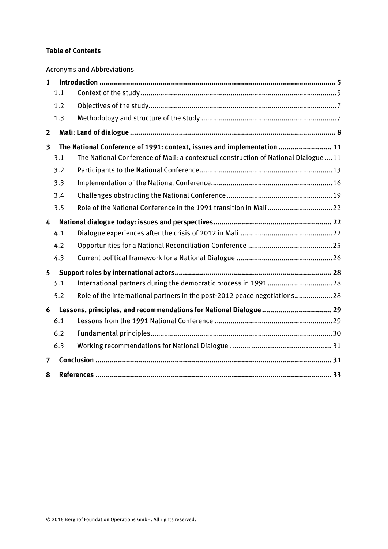#### **Table of Contents**

Acronyms and Abbreviations

| $\mathbf{1}$   |     |                                                                                   |  |
|----------------|-----|-----------------------------------------------------------------------------------|--|
|                | 1.1 |                                                                                   |  |
|                | 1.2 |                                                                                   |  |
|                | 1.3 |                                                                                   |  |
| $\overline{2}$ |     |                                                                                   |  |
| 3              |     | The National Conference of 1991: context, issues and implementation  11           |  |
|                | 3.1 | The National Conference of Mali: a contextual construction of National Dialogue11 |  |
|                | 3.2 |                                                                                   |  |
|                | 3.3 |                                                                                   |  |
|                | 3.4 |                                                                                   |  |
|                | 3.5 | Role of the National Conference in the 1991 transition in Mali22                  |  |
| 4              |     |                                                                                   |  |
|                | 4.1 |                                                                                   |  |
|                | 4.2 |                                                                                   |  |
|                | 4.3 |                                                                                   |  |
| 5              |     |                                                                                   |  |
|                | 5.1 |                                                                                   |  |
|                | 5.2 | Role of the international partners in the post-2012 peace negotiations28          |  |
| 6              |     | Lessons, principles, and recommendations for National Dialogue  29                |  |
|                | 6.1 |                                                                                   |  |
|                | 6.2 |                                                                                   |  |
|                | 6.3 |                                                                                   |  |
| 7              |     |                                                                                   |  |
| 8              |     |                                                                                   |  |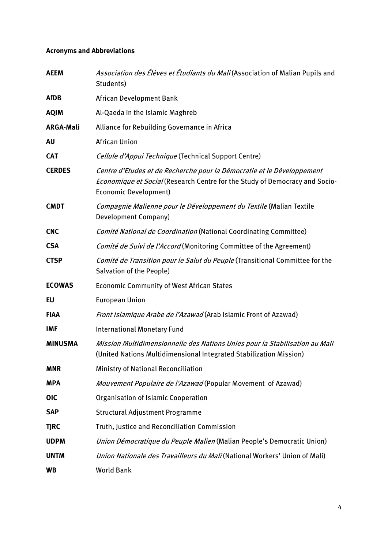#### **Acronyms and Abbreviations**

| <b>AEEM</b>      | Association des Élèves et Étudiants du Mali (Association of Malian Pupils and<br>Students)                                                                                            |
|------------------|---------------------------------------------------------------------------------------------------------------------------------------------------------------------------------------|
| <b>AfDB</b>      | African Development Bank                                                                                                                                                              |
| <b>AQIM</b>      | Al-Qaeda in the Islamic Maghreb                                                                                                                                                       |
| <b>ARGA-Mali</b> | Alliance for Rebuilding Governance in Africa                                                                                                                                          |
| <b>AU</b>        | <b>African Union</b>                                                                                                                                                                  |
| <b>CAT</b>       | Cellule d'Appui Technique (Technical Support Centre)                                                                                                                                  |
| <b>CERDES</b>    | Centre d'Etudes et de Recherche pour la Démocratie et le Développement<br>Economique et Social (Research Centre for the Study of Democracy and Socio-<br><b>Economic Development)</b> |
| <b>CMDT</b>      | Compagnie Malienne pour le Développement du Textile (Malian Textile<br>Development Company)                                                                                           |
| <b>CNC</b>       | Comité National de Coordination (National Coordinating Committee)                                                                                                                     |
| <b>CSA</b>       | Comité de Suivi de l'Accord (Monitoring Committee of the Agreement)                                                                                                                   |
| <b>CTSP</b>      | Comité de Transition pour le Salut du Peuple (Transitional Committee for the<br>Salvation of the People)                                                                              |
| <b>ECOWAS</b>    | <b>Economic Community of West African States</b>                                                                                                                                      |
| <b>EU</b>        | <b>European Union</b>                                                                                                                                                                 |
| <b>FIAA</b>      | Front Islamique Arabe de l'Azawad (Arab Islamic Front of Azawad)                                                                                                                      |
| <b>IMF</b>       | <b>International Monetary Fund</b>                                                                                                                                                    |
| <b>MINUSMA</b>   | Mission Multidimensionnelle des Nations Unies pour la Stabilisation au Mali<br>(United Nations Multidimensional Integrated Stabilization Mission)                                     |
| <b>MNR</b>       | <b>Ministry of National Reconciliation</b>                                                                                                                                            |
| <b>MPA</b>       | Mouvement Populaire de l'Azawad (Popular Movement of Azawad)                                                                                                                          |
| <b>OIC</b>       | <b>Organisation of Islamic Cooperation</b>                                                                                                                                            |
| <b>SAP</b>       | <b>Structural Adjustment Programme</b>                                                                                                                                                |
| <b>TJRC</b>      | Truth, Justice and Reconciliation Commission                                                                                                                                          |
| <b>UDPM</b>      | Union Démocratique du Peuple Malien (Malian People's Democratic Union)                                                                                                                |
| <b>UNTM</b>      | Union Nationale des Travailleurs du Mali (National Workers' Union of Mali)                                                                                                            |
| <b>WB</b>        | <b>World Bank</b>                                                                                                                                                                     |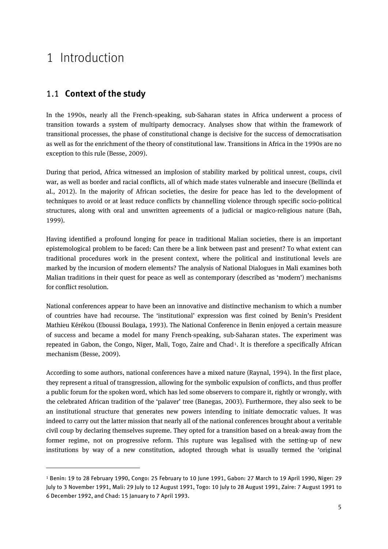## <span id="page-4-1"></span><span id="page-4-0"></span>1 Introduction

1

#### 1.1 **Context of the study**

In the 1990s, nearly all the French-speaking, sub-Saharan states in Africa underwent a process of transition towards a system of multiparty democracy. Analyses show that within the framework of transitional processes, the phase of constitutional change is decisive for the success of democratisation as well as for the enrichment of the theory of constitutional law. Transitions in Africa in the 1990s are no exception to this rule (Besse, 2009).

During that period, Africa witnessed an implosion of stability marked by political unrest, coups, civil war, as well as border and racial conflicts, all of which made states vulnerable and insecure (Bellinda et al., 2012). In the majority of African societies, the desire for peace has led to the development of techniques to avoid or at least reduce conflicts by channelling violence through specific socio-political structures, along with oral and unwritten agreements of a judicial or magico-religious nature (Bah, 1999).

Having identified a profound longing for peace in traditional Malian societies, there is an important epistemological problem to be faced: Can there be a link between past and present? To what extent can traditional procedures work in the present context, where the political and institutional levels are marked by the incursion of modern elements? The analysis of National Dialogues in Mali examines both Malian traditions in their quest for peace as well as contemporary (described as 'modern') mechanisms for conflict resolution.

National conferences appear to have been an innovative and distinctive mechanism to which a number of countries have had recourse. The 'institutional' expression was first coined by Benin's President Mathieu Kérékou (Eboussi Boulaga, 1993). The National Conference in Benin enjoyed a certain measure of success and became a model for many French-speaking, sub-Saharan states. The experiment was repeated in Gabon, the Congo, Niger, Mali, Togo, Zaire and Chad[1](#page-4-2). It is therefore a specifically African mechanism (Besse, 2009).

According to some authors, national conferences have a mixed nature (Raynal, 1994). In the first place, they represent a ritual of transgression, allowing for the symbolic expulsion of conflicts, and thus proffer a public forum for the spoken word, which has led some observers to compare it, rightly or wrongly, with the celebrated African tradition of the 'palaver' tree (Banegas, 2003). Furthermore, they also seek to be an institutional structure that generates new powers intending to initiate democratic values. It was indeed to carry out the latter mission that nearly all of the national conferences brought about a veritable civil coup by declaring themselves supreme. They opted for a transition based on a break-away from the former regime, not on progressive reform. This rupture was legalised with the setting-up of new institutions by way of a new constitution, adopted through what is usually termed the 'original

<span id="page-4-2"></span><sup>1</sup> Benin: 19 to 28 February 1990, Congo: 25 February to 10 June 1991, Gabon: 27 March to 19 April 1990, Niger: 29 July to 3 November 1991, Mali: 29 July to 12 August 1991, Togo: 10 July to 28 August 1991, Zaire: 7 August 1991 to 6 December 1992, and Chad: 15 January to 7 April 1993.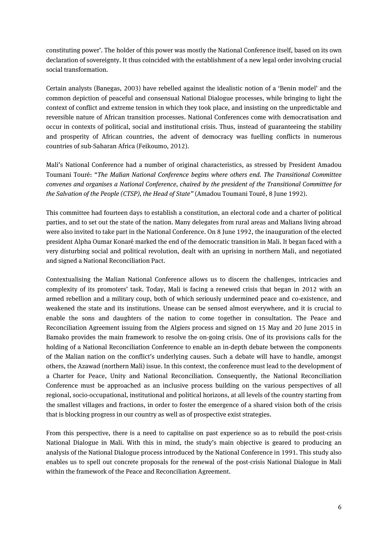constituting power'. The holder of this power was mostly the National Conference itself, based on its own declaration of sovereignty. It thus coincided with the establishment of a new legal order involving crucial social transformation.

Certain analysts (Banegas, 2003) have rebelled against the idealistic notion of a 'Benin model' and the common depiction of peaceful and consensual National Dialogue processes, while bringing to light the context of conflict and extreme tension in which they took place, and insisting on the unpredictable and reversible nature of African transition processes. National Conferences come with democratisation and occur in contexts of political, social and institutional crisis. Thus, instead of guaranteeing the stability and prosperity of African countries, the advent of democracy was fuelling conflicts in numerous countries of sub-Saharan Africa (Feikoumo, 2012).

Mali's National Conference had a number of original characteristics, as stressed by President Amadou Toumani Touré: "*The Malian National Conference begins where others end. The Transitional Committee convenes and organises a National Conference, chaired by the president of the Transitional Committee for the Salvation of the People (CTSP), the Head of State"* (Amadou Toumani Touré, 8 June 1992).

This committee had fourteen days to establish a constitution, an electoral code and a charter of political parties, and to set out the state of the nation. Many delegates from rural areas and Malians living abroad were also invited to take part in the National Conference. On 8 June 1992, the inauguration of the elected president Alpha Oumar Konaré marked the end of the democratic transition in Mali. It began faced with a very disturbing social and political revolution, dealt with an uprising in northern Mali, and negotiated and signed a National Reconciliation Pact.

Contextualising the Malian National Conference allows us to discern the challenges, intricacies and complexity of its promoters' task. Today, Mali is facing a renewed crisis that began in 2012 with an armed rebellion and a military coup, both of which seriously undermined peace and co-existence, and weakened the state and its institutions. Unease can be sensed almost everywhere, and it is crucial to enable the sons and daughters of the nation to come together in consultation. The Peace and Reconciliation Agreement issuing from the Algiers process and signed on 15 May and 20 June 2015 in Bamako provides the main framework to resolve the on-going crisis. One of its provisions calls for the holding of a National Reconciliation Conference to enable an in-depth debate between the components of the Malian nation on the conflict's underlying causes. Such a debate will have to handle, amongst others, the Azawad (northern Mali) issue. In this context, the conference must lead to the development of a Charter for Peace, Unity and National Reconciliation. Consequently, the National Reconciliation Conference must be approached as an inclusive process building on the various perspectives of all regional, socio-occupational, institutional and political horizons, at all levels of the country starting from the smallest villages and fractions, in order to foster the emergence of a shared vision both of the crisis that is blocking progress in our country as well as of prospective exist strategies.

From this perspective, there is a need to capitalise on past experience so as to rebuild the post-crisis National Dialogue in Mali. With this in mind, the study's main objective is geared to producing an analysis of the National Dialogue process introduced by the National Conference in 1991. This study also enables us to spell out concrete proposals for the renewal of the post-crisis National Dialogue in Mali within the framework of the Peace and Reconciliation Agreement.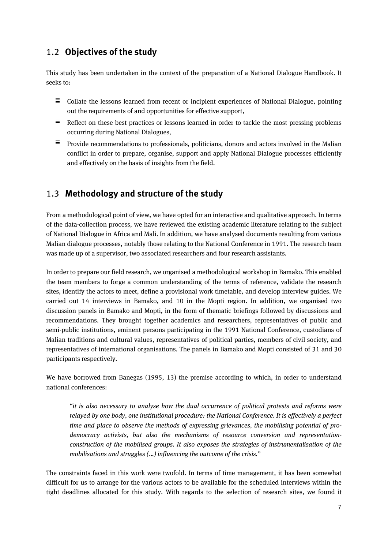#### <span id="page-6-0"></span>1.2 **Objectives of the study**

This study has been undertaken in the context of the preparation of a National Dialogue Handbook. It seeks to:

- $\equiv$  Collate the lessons learned from recent or incipient experiences of National Dialogue, pointing out the requirements of and opportunities for effective support,
- $\Xi$  Reflect on these best practices or lessons learned in order to tackle the most pressing problems occurring during National Dialogues,
- $\equiv$  Provide recommendations to professionals, politicians, donors and actors involved in the Malian conflict in order to prepare, organise, support and apply National Dialogue processes efficiently and effectively on the basis of insights from the field.

#### <span id="page-6-1"></span>1.3 **Methodology and structure of the study**

From a methodological point of view, we have opted for an interactive and qualitative approach. In terms of the data-collection process, we have reviewed the existing academic literature relating to the subject of National Dialogue in Africa and Mali. In addition, we have analysed documents resulting from various Malian dialogue processes, notably those relating to the National Conference in 1991. The research team was made up of a supervisor, two associated researchers and four research assistants.

In order to prepare our field research, we organised a methodological workshop in Bamako. This enabled the team members to forge a common understanding of the terms of reference, validate the research sites, identify the actors to meet, define a provisional work timetable, and develop interview guides. We carried out 14 interviews in Bamako, and 10 in the Mopti region. In addition, we organised two discussion panels in Bamako and Mopti, in the form of thematic briefings followed by discussions and recommendations. They brought together academics and researchers, representatives of public and semi-public institutions, eminent persons participating in the 1991 National Conference, custodians of Malian traditions and cultural values, representatives of political parties, members of civil society, and representatives of international organisations. The panels in Bamako and Mopti consisted of 31 and 30 participants respectively.

We have borrowed from Banegas (1995, 13) the premise according to which, in order to understand national conferences:

"*it is also necessary to analyse how the dual occurrence of political protests and reforms were relayed by one body, one institutional procedure: the National Conference. It is effectively a perfect time and place to observe the methods of expressing grievances, the mobilising potential of prodemocracy activists, but also the mechanisms of resource conversion and representationconstruction of the mobilised groups. It also exposes the strategies of instrumentalisation of the mobilisations and struggles (…) influencing the outcome of the crisis.*"

The constraints faced in this work were twofold. In terms of time management, it has been somewhat difficult for us to arrange for the various actors to be available for the scheduled interviews within the tight deadlines allocated for this study. With regards to the selection of research sites, we found it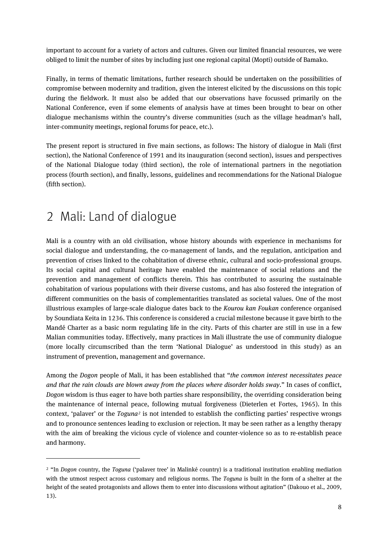important to account for a variety of actors and cultures. Given our limited financial resources, we were obliged to limit the number of sites by including just one regional capital (Mopti) outside of Bamako.

Finally, in terms of thematic limitations, further research should be undertaken on the possibilities of compromise between modernity and tradition, given the interest elicited by the discussions on this topic during the fieldwork. It must also be added that our observations have focussed primarily on the National Conference, even if some elements of analysis have at times been brought to bear on other dialogue mechanisms within the country's diverse communities (such as the village headman's hall, inter-community meetings, regional forums for peace, etc.).

The present report is structured in five main sections, as follows: The history of dialogue in Mali (first section), the National Conference of 1991 and its inauguration (second section), issues and perspectives of the National Dialogue today (third section), the role of international partners in the negotiation process (fourth section), and finally, lessons, guidelines and recommendations for the National Dialogue (fifth section).

## <span id="page-7-0"></span>2 Mali: Land of dialogue

**.** 

Mali is a country with an old civilisation, whose history abounds with experience in mechanisms for social dialogue and understanding, the co-management of lands, and the regulation, anticipation and prevention of crises linked to the cohabitation of diverse ethnic, cultural and socio-professional groups. Its social capital and cultural heritage have enabled the maintenance of social relations and the prevention and management of conflicts therein. This has contributed to assuring the sustainable cohabitation of various populations with their diverse customs, and has also fostered the integration of different communities on the basis of complementarities translated as societal values. One of the most illustrious examples of large-scale dialogue dates back to the *Kourou kan Foukan* conference organised by Soundiata Keita in 1236. This conference is considered a crucial milestone because it gave birth to the Mandé Charter as a basic norm regulating life in the city. Parts of this charter are still in use in a few Malian communities today. Effectively, many practices in Mali illustrate the use of community dialogue (more locally circumscribed than the term 'National Dialogue' as understood in this study) as an instrument of prevention, management and governance.

Among the *Dogon* people of Mali, it has been established that "*the common interest necessitates peace and that the rain clouds are blown away from the places where disorder holds sway.*" In cases of conflict, *Dogon* wisdom is thus eager to have both parties share responsibility, the overriding consideration being the maintenance of internal peace, following mutual forgiveness (Dieterlen et Fortes, 1965). In this context, 'palaver' or the *Toguna[2](#page-7-1)* is not intended to establish the conflicting parties' respective wrongs and to pronounce sentences leading to exclusion or rejection. It may be seen rather as a lengthy therapy with the aim of breaking the vicious cycle of violence and counter-violence so as to re-establish peace and harmony.

<span id="page-7-1"></span><sup>2</sup> "In *Dogon* country, the *Toguna* ('palaver tree' in Malinké country) is a traditional institution enabling mediation with the utmost respect across customary and religious norms. The *Toguna* is built in the form of a shelter at the height of the seated protagonists and allows them to enter into discussions without agitation" (Dakouo et al., 2009, 13).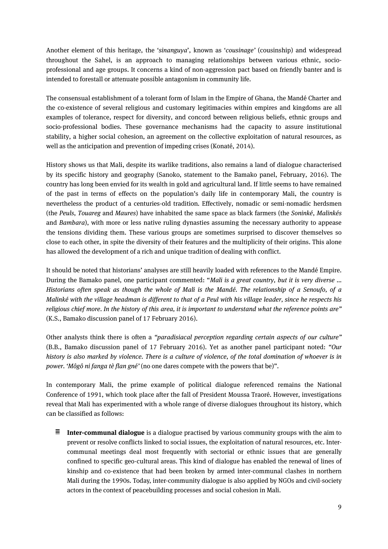Another element of this heritage, the '*sinanguya*', known as '*cousinage'* (cousinship) and widespread throughout the Sahel, is an approach to managing relationships between various ethnic, socioprofessional and age groups. It concerns a kind of non-aggression pact based on friendly banter and is intended to forestall or attenuate possible antagonism in community life.

The consensual establishment of a tolerant form of Islam in the Empire of Ghana, the Mandé Charter and the co-existence of several religious and customary legitimacies within empires and kingdoms are all examples of tolerance, respect for diversity, and concord between religious beliefs, ethnic groups and socio-professional bodies. These governance mechanisms had the capacity to assure institutional stability, a higher social cohesion, an agreement on the collective exploitation of natural resources, as well as the anticipation and prevention of impeding crises (Konaté, 2014).

History shows us that Mali, despite its warlike traditions, also remains a land of dialogue characterised by its specific history and geography (Sanoko, statement to the Bamako panel, February, 2016). The country has long been envied for its wealth in gold and agricultural land. If little seems to have remained of the past in terms of effects on the population's daily life in contemporary Mali, the country is nevertheless the product of a centuries-old tradition*.* Effectively, nomadic or semi-nomadic herdsmen (the *Peuls*, *Touareg* and *Maures*) have inhabited the same space as black farmers (the *Soninké*, *Malinkés* and *Bambara*), with more or less native ruling dynasties assuming the necessary authority to appease the tensions dividing them. These various groups are sometimes surprised to discover themselves so close to each other, in spite the diversity of their features and the multiplicity of their origins. This alone has allowed the development of a rich and unique tradition of dealing with conflict.

It should be noted that historians' analyses are still heavily loaded with references to the Mandé Empire. During the Bamako panel, one participant commented: "*Mali is a great country, but it is very diverse ... Historians often speak as though the whole of Mali is the Mandé. The relationship of a Senoufo, of a Malinké with the village headman is different to that of a Peul with his village leader, since he respects his religious chief more. In the history of this area, it is important to understand what the reference points are"* (K.S., Bamako discussion panel of 17 February 2016).

Other analysts think there is often a *"paradisiacal perception regarding certain aspects of our culture"* (B.B., Bamako discussion panel of 17 February 2016). Yet as another panel participant noted: *"Our history is also marked by violence. There is a culture of violence, of the total domination of whoever is in power. 'Môgô ni fanga tè flan gné'* (no one dares compete with the powers that be)".

In contemporary Mali, the prime example of political dialogue referenced remains the National Conference of 1991, which took place after the fall of President Moussa Traoré. However, investigations reveal that Mali has experimented with a whole range of diverse dialogues throughout its history, which can be classified as follows:

 $\equiv$ **Inter-communal dialogue** is a dialogue practised by various community groups with the aim to prevent or resolve conflicts linked to social issues, the exploitation of natural resources, etc. Intercommunal meetings deal most frequently with sectorial or ethnic issues that are generally confined to specific geo-cultural areas. This kind of dialogue has enabled the renewal of lines of kinship and co-existence that had been broken by armed inter-communal clashes in northern Mali during the 1990s. Today, inter-community dialogue is also applied by NGOs and civil-society actors in the context of peacebuilding processes and social cohesion in Mali.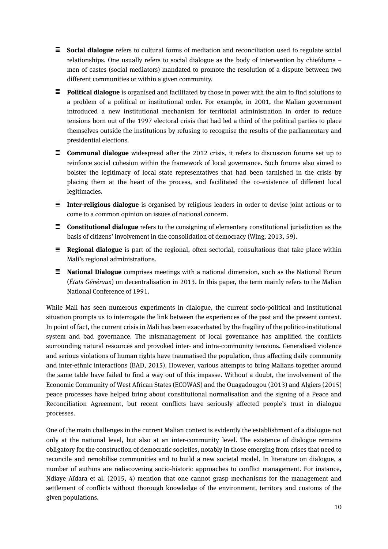- **Social dialogue** refers to cultural forms of mediation and reconciliation used to regulate social relationships. One usually refers to social dialogue as the body of intervention by chiefdoms – men of castes (social mediators) mandated to promote the resolution of a dispute between two different communities or within a given community.
- **Political dialogue** is organised and facilitated by those in power with the aim to find solutions to a problem of a political or institutional order. For example, in 2001, the Malian government introduced a new institutional mechanism for territorial administration in order to reduce tensions born out of the 1997 electoral crisis that had led a third of the political parties to place themselves outside the institutions by refusing to recognise the results of the parliamentary and presidential elections.
- **E Communal dialogue** widespread after the 2012 crisis, it refers to discussion forums set up to reinforce social cohesion within the framework of local governance. Such forums also aimed to bolster the legitimacy of local state representatives that had been tarnished in the crisis by placing them at the heart of the process, and facilitated the co-existence of different local legitimacies.
- **Inter-religious dialogue** is organised by religious leaders in order to devise joint actions or to come to a common opinion on issues of national concern.
- **Constitutional dialogue** refers to the consigning of elementary constitutional jurisdiction as the basis of citizens' involvement in the consolidation of democracy (Wing, 2013, 59).
- **Regional dialogue** is part of the regional, often sectorial, consultations that take place within Mali's regional administrations.
- **National Dialogue** comprises meetings with a national dimension, such as the National Forum (*États Généraux*) on decentralisation in 2013. In this paper, the term mainly refers to the Malian National Conference of 1991.

While Mali has seen numerous experiments in dialogue, the current socio-political and institutional situation prompts us to interrogate the link between the experiences of the past and the present context. In point of fact, the current crisis in Mali has been exacerbated by the fragility of the politico-institutional system and bad governance. The mismanagement of local governance has amplified the conflicts surrounding natural resources and provoked inter- and intra-community tensions. Generalised violence and serious violations of human rights have traumatised the population, thus affecting daily community and inter-ethnic interactions (BAD, 2015). However, various attempts to bring Malians together around the same table have failed to find a way out of this impasse. Without a doubt, the involvement of the Economic Community of West African States (ECOWAS) and the Ouagadougou (2013) and Algiers (2015) peace processes have helped bring about constitutional normalisation and the signing of a Peace and Reconciliation Agreement, but recent conflicts have seriously affected people's trust in dialogue processes.

One of the main challenges in the current Malian context is evidently the establishment of a dialogue not only at the national level, but also at an inter-community level. The existence of dialogue remains obligatory for the construction of democratic societies, notably in those emerging from crises that need to reconcile and remobilise communities and to build a new societal model. In literature on dialogue, a number of authors are rediscovering socio-historic approaches to conflict management. For instance, Ndiaye Aïdara et al. (2015, 4) mention that one cannot grasp mechanisms for the management and settlement of conflicts without thorough knowledge of the environment, territory and customs of the given populations.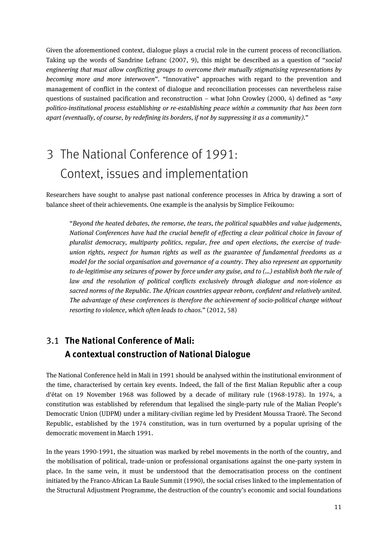Given the aforementioned context, dialogue plays a crucial role in the current process of reconciliation. Taking up the words of Sandrine Lefranc (2007, 9), this might be described as a question of "*social engineering that must allow conflicting groups to overcome their mutually stigmatising representations by becoming more and more interwoven*"*.* "Innovative" approaches with regard to the prevention and management of conflict in the context of dialogue and reconciliation processes can nevertheless raise questions of sustained pacification and reconstruction – what John Crowley (2000, 4) defined as "*any politico-institutional process establishing or re-establishing peace within a community that has been torn apart (eventually, of course, by redefining its borders, if not by suppressing it as a community).*"

# <span id="page-10-0"></span>3 The National Conference of 1991: Context, issues and implementation

Researchers have sought to analyse past national conference processes in Africa by drawing a sort of balance sheet of their achievements. One example is the analysis by Simplice Feikoumo:

"*Beyond the heated debates, the remorse, the tears, the political squabbles and value judgements, National Conferences have had the crucial benefit of effecting a clear political choice in favour of pluralist democracy, multiparty politics, regular, free and open elections, the exercise of tradeunion rights, respect for human rights as well as the guarantee of fundamental freedoms as a model for the social organisation and governance of a country. They also represent an opportunity to de-legitimise any seizures of power by force under any guise, and to (…) establish both the rule of law and the resolution of political conflicts exclusively through dialogue and non-violence as sacred norms of the Republic. The African countries appear reborn, confident and relatively united. The advantage of these conferences is therefore the achievement of socio-political change without resorting to violence, which often leads to chaos.*" (2012, 58)

## <span id="page-10-1"></span>3.1 **The National Conference of Mali: A contextual construction of National Dialogue**

The National Conference held in Mali in 1991 should be analysed within the institutional environment of the time, characterised by certain key events. Indeed, the fall of the first Malian Republic after a coup d'état on 19 November 1968 was followed by a decade of military rule (1968-1978). In 1974, a constitution was established by referendum that legalised the single-party rule of the Malian People's Democratic Union (UDPM) under a military-civilian regime led by President Moussa Traoré. The Second Republic, established by the 1974 constitution, was in turn overturned by a popular uprising of the democratic movement in March 1991.

In the years 1990-1991, the situation was marked by rebel movements in the north of the country, and the mobilisation of political, trade-union or professional organisations against the one-party system in place. In the same vein, it must be understood that the democratisation process on the continent initiated by the Franco-African La Baule Summit (1990), the social crises linked to the implementation of the Structural Adjustment Programme, the destruction of the country's economic and social foundations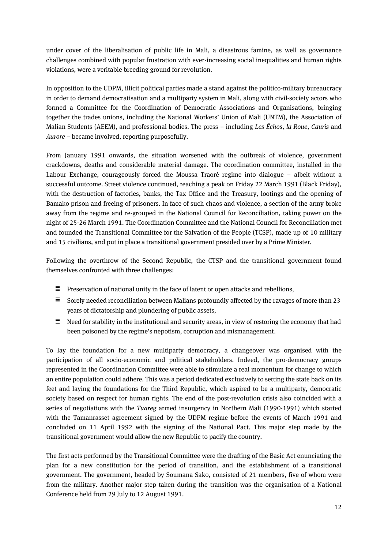under cover of the liberalisation of public life in Mali, a disastrous famine, as well as governance challenges combined with popular frustration with ever-increasing social inequalities and human rights violations, were a veritable breeding ground for revolution.

In opposition to the UDPM, illicit political parties made a stand against the politico-military bureaucracy in order to demand democratisation and a multiparty system in Mali, along with civil-society actors who formed a Committee for the Coordination of Democratic Associations and Organisations, bringing together the trades unions, including the National Workers' Union of Mali (UNTM), the Association of Malian Students (AEEM), and professional bodies. The press – including *Les Échos*, *la Roue*, *Cauris* and *Aurore* – became involved, reporting purposefully.

From January 1991 onwards, the situation worsened with the outbreak of violence, government crackdowns, deaths and considerable material damage. The coordination committee, installed in the Labour Exchange, courageously forced the Moussa Traoré regime into dialogue – albeit without a successful outcome. Street violence continued, reaching a peak on Friday 22 March 1991 (Black Friday), with the destruction of factories, banks, the Tax Office and the Treasury, lootings and the opening of Bamako prison and freeing of prisoners. In face of such chaos and violence, a section of the army broke away from the regime and re-grouped in the National Council for Reconciliation, taking power on the night of 25-26 March 1991. The Coordination Committee and the National Council for Reconciliation met and founded the Transitional Committee for the Salvation of the People (TCSP), made up of 10 military and 15 civilians, and put in place a transitional government presided over by a Prime Minister.

Following the overthrow of the Second Republic, the CTSP and the transitional government found themselves confronted with three challenges:

- $\equiv$  Preservation of national unity in the face of latent or open attacks and rebellions,
- $\Xi$  Sorely needed reconciliation between Malians profoundly affected by the ravages of more than 23 years of dictatorship and plundering of public assets,
- $\equiv$  Need for stability in the institutional and security areas, in view of restoring the economy that had been poisoned by the regime's nepotism, corruption and mismanagement.

To lay the foundation for a new multiparty democracy, a changeover was organised with the participation of all socio-economic and political stakeholders. Indeed, the pro-democracy groups represented in the Coordination Committee were able to stimulate a real momentum for change to which an entire population could adhere. This was a period dedicated exclusively to setting the state back on its feet and laying the foundations for the Third Republic, which aspired to be a multiparty, democratic society based on respect for human rights. The end of the post-revolution crisis also coincided with a series of negotiations with the *Tuareg* armed insurgency in Northern Mali (1990-1991) which started with the Tamanrasset agreement signed by the UDPM regime before the events of March 1991 and concluded on 11 April 1992 with the signing of the National Pact. This major step made by the transitional government would allow the new Republic to pacify the country.

The first acts performed by the Transitional Committee were the drafting of the Basic Act enunciating the plan for a new constitution for the period of transition, and the establishment of a transitional government. The government, headed by Soumana Sako, consisted of 21 members, five of whom were from the military. Another major step taken during the transition was the organisation of a National Conference held from 29 July to 12 August 1991.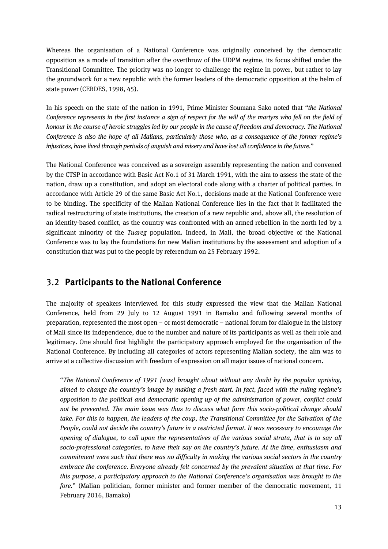Whereas the organisation of a National Conference was originally conceived by the democratic opposition as a mode of transition after the overthrow of the UDPM regime, its focus shifted under the Transitional Committee. The priority was no longer to challenge the regime in power, but rather to lay the groundwork for a new republic with the former leaders of the democratic opposition at the helm of state power (CERDES, 1998, 45).

In his speech on the state of the nation in 1991, Prime Minister Soumana Sako noted that "*the National Conference represents in the first instance a sign of respect for the will of the martyrs who fell on the field of honour in the course of heroic struggles led by our people in the cause of freedom and democracy. The National Conference is also the hope of all Malians, particularly those who, as a consequence of the former regime's injustices, have lived through periods of anguish and misery and have lost all confidence in the future.*"

The National Conference was conceived as a sovereign assembly representing the nation and convened by the CTSP in accordance with Basic Act No.1 of 31 March 1991, with the aim to assess the state of the nation, draw up a constitution, and adopt an electoral code along with a charter of political parties. In accordance with Article 29 of the same Basic Act No.1, decisions made at the National Conference were to be binding. The specificity of the Malian National Conference lies in the fact that it facilitated the radical restructuring of state institutions, the creation of a new republic and, above all, the resolution of an identity-based conflict, as the country was confronted with an armed rebellion in the north led by a significant minority of the *Tuareg* population. Indeed, in Mali, the broad objective of the National Conference was to lay the foundations for new Malian institutions by the assessment and adoption of a constitution that was put to the people by referendum on 25 February 1992.

#### <span id="page-12-0"></span>3.2 **Participants to the National Conference**

The majority of speakers interviewed for this study expressed the view that the Malian National Conference, held from 29 July to 12 August 1991 in Bamako and following several months of preparation, represented the most open – or most democratic – national forum for dialogue in the history of Mali since its independence, due to the number and nature of its participants as well as their role and legitimacy. One should first highlight the participatory approach employed for the organisation of the National Conference. By including all categories of actors representing Malian society, the aim was to arrive at a collective discussion with freedom of expression on all major issues of national concern.

"*The National Conference of 1991 [was] brought about without any doubt by the popular uprising, aimed to change the country's image by making a fresh start. In fact, faced with the ruling regime's opposition to the political and democratic opening up of the administration of power, conflict could not be prevented. The main issue was thus to discuss what form this socio-political change should take. For this to happen, the leaders of the coup, the Transitional Committee for the Salvation of the People, could not decide the country's future in a restricted format. It was necessary to encourage the opening of dialogue, to call upon the representatives of the various social strata, that is to say all socio-professional categories, to have their say on the country's future. At the time, enthusiasm and commitment were such that there was no difficulty in making the various social sectors in the country embrace the conference. Everyone already felt concerned by the prevalent situation at that time. For this purpose, a participatory approach to the National Conference's organisation was brought to the fore.*" (Malian politician, former minister and former member of the democratic movement, 11 February 2016, Bamako)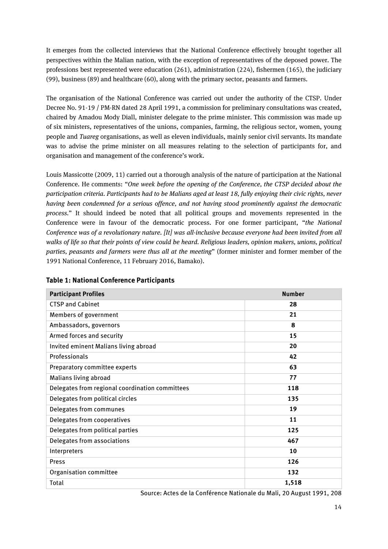It emerges from the collected interviews that the National Conference effectively brought together all perspectives within the Malian nation, with the exception of representatives of the deposed power. The professions best represented were education (261), administration (224), fishermen (165), the judiciary (99), business (89) and healthcare (60), along with the primary sector, peasants and farmers.

The organisation of the National Conference was carried out under the authority of the CTSP. Under Decree No. 91-19 / PM-RN dated 28 April 1991, a commission for preliminary consultations was created, chaired by Amadou Mody Diall, minister delegate to the prime minister. This commission was made up of six ministers, representatives of the unions, companies, farming, the religious sector, women, young people and *Tuareg* organisations, as well as eleven individuals, mainly senior civil servants. Its mandate was to advise the prime minister on all measures relating to the selection of participants for, and organisation and management of the conference's work.

Louis Massicotte (2009, 11) carried out a thorough analysis of the nature of participation at the National Conference. He comments: "*One week before the opening of the Conference, the CTSP decided about the participation criteria. Participants had to be Malians aged at least 18, fully enjoying their civic rights, never having been condemned for a serious offence, and not having stood prominently against the democratic process.*" It should indeed be noted that all political groups and movements represented in the Conference were in favour of the democratic process. For one former participant, "*the National Conference was of a revolutionary nature. [It] was all-inclusive because everyone had been invited from all walks of life so that their points of view could be heard. Religious leaders, opinion makers, unions, political parties, peasants and farmers were thus all at the meeting*" (former minister and former member of the 1991 National Conference, 11 February 2016, Bamako).

| <b>Participant Profiles</b>                     | <b>Number</b> |
|-------------------------------------------------|---------------|
| <b>CTSP and Cabinet</b>                         | 28            |
| Members of government                           | 21            |
| Ambassadors, governors                          | 8             |
| Armed forces and security                       | 15            |
| Invited eminent Malians living abroad           | 20            |
| Professionals                                   | 42            |
| Preparatory committee experts                   | 63            |
| Malians living abroad                           | 77            |
| Delegates from regional coordination committees | 118           |
| Delegates from political circles                | 135           |
| Delegates from communes                         | 19            |
| Delegates from cooperatives                     | 11            |
| Delegates from political parties                | 125           |
| Delegates from associations                     | 467           |
| Interpreters                                    | 10            |
| Press                                           | 126           |
| Organisation committee                          | 132           |
| Total                                           | 1,518         |

#### **Table 1: National Conference Participants**

Source: Actes de la Conférence Nationale du Mali, 20 August 1991, 208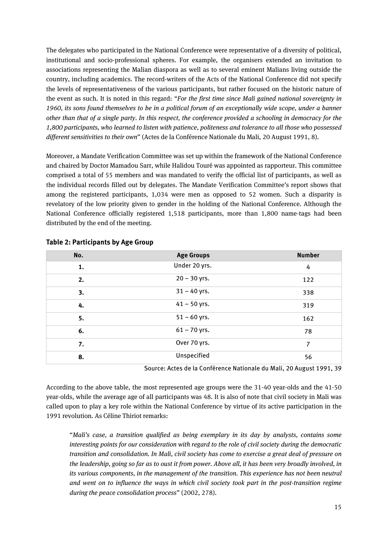The delegates who participated in the National Conference were representative of a diversity of political, institutional and socio-professional spheres. For example, the organisers extended an invitation to associations representing the Malian diaspora as well as to several eminent Malians living outside the country, including academics. The record-writers of the Acts of the National Conference did not specify the levels of representativeness of the various participants, but rather focused on the historic nature of the event as such. It is noted in this regard: "*For the first time since Mali gained national sovereignty in 1960, its sons found themselves to be in a political forum of an exceptionally wide scope, under a banner other than that of a single party. In this respect, the conference provided a schooling in democracy for the 1,800 participants, who learned to listen with patience, politeness and tolerance to all those who possessed different sensitivities to their own*" (Actes de la Conférence Nationale du Mali, 20 August 1991, 8).

Moreover, a Mandate Verification Committee was set up within the framework of the National Conference and chaired by Doctor Mamadou Sarr, while Halidou Touré was appointed as rapporteur. This committee comprised a total of 55 members and was mandated to verify the official list of participants, as well as the individual records filled out by delegates. The Mandate Verification Committee's report shows that among the registered participants, 1,034 were men as opposed to 52 women. Such a disparity is revelatory of the low priority given to gender in the holding of the National Conference. Although the National Conference officially registered 1,518 participants, more than 1,800 name-tags had been distributed by the end of the meeting.

| No. | <b>Age Groups</b> | <b>Number</b> |
|-----|-------------------|---------------|
| 1.  | Under 20 yrs.     | 4             |
| 2.  | $20 - 30$ yrs.    | 122           |
| 3.  | $31 - 40$ yrs.    | 338           |
| 4.  | $41 - 50$ yrs.    | 319           |
| 5.  | $51 - 60$ yrs.    | 162           |
| 6.  | $61 - 70$ yrs.    | 78            |
| 7.  | Over 70 yrs.      | 7             |
| 8.  | Unspecified       | 56            |

#### **Table 2: Participants by Age Group**

Source: Actes de la Conférence Nationale du Mali, 20 August 1991, 39

According to the above table, the most represented age groups were the 31-40 year-olds and the 41-50 year-olds, while the average age of all participants was 48. It is also of note that civil society in Mali was called upon to play a key role within the National Conference by virtue of its active participation in the 1991 revolution. As Céline Thiriot remarks:

"*Mali's case, a transition qualified as being exemplary in its day by analysts, contains some interesting points for our consideration with regard to the role of civil society during the democratic transition and consolidation. In Mali, civil society has come to exercise a great deal of pressure on the leadership, going so far as to oust it from power. Above all, it has been very broadly involved, in its various components, in the management of the transition. This experience has not been neutral and went on to influence the ways in which civil society took part in the post-transition regime during the peace consolidation process*" (2002, 278).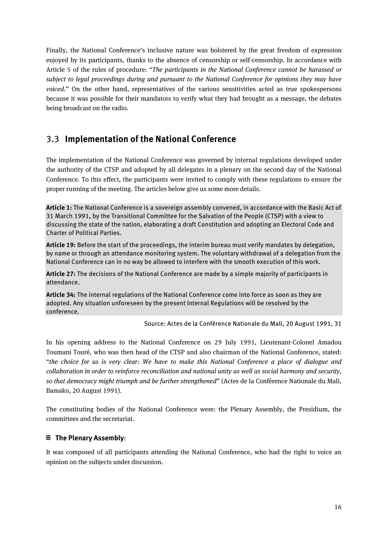Finally, the National Conference's inclusive nature was bolstered by the great freedom of expression enjoyed by its participants, thanks to the absence of censorship or self-censorship. In accordance with Article 5 of the rules of procedure: "*The participants in the National Conference cannot be harassed or subject to legal proceedings during and pursuant to the National Conference for opinions they may have voiced*." On the other hand, representatives of the various sensitivities acted as true spokespersons because it was possible for their mandators to verify what they had brought as a message, the debates being broadcast on the radio.

#### <span id="page-15-0"></span>3.3 **Implementation of the National Conference**

The implementation of the National Conference was governed by internal regulations developed under the authority of the CTSP and adopted by all delegates in a plenary on the second day of the National Conference. To this effect, the participants were invited to comply with these regulations to ensure the proper running of the meeting. The articles below give us some more details.

**Article 1:** The National Conference is a sovereign assembly convened, in accordance with the Basic Act of 31 March 1991, by the Transitional Committee for the Salvation of the People (CTSP) with a view to discussing the state of the nation, elaborating a draft Constitution and adopting an Electoral Code and Charter of Political Parties.

**Article 19:** Before the start of the proceedings, the interim bureau must verify mandates by delegation, by name or through an attendance monitoring system. The voluntary withdrawal of a delegation from the National Conference can in no way be allowed to interfere with the smooth execution of this work.

**Article 27:** The decisions of the National Conference are made by a simple majority of participants in attendance.

**Article 34:** The internal regulations of the National Conference come into force as soon as they are adopted. Any situation unforeseen by the present Internal Regulations will be resolved by the conference.

Source: Actes de la Conférence Nationale du Mali, 20 August 1991, 31

In his opening address to the National Conference on 29 July 1991, Lieutenant-Colonel Amadou Toumani Touré, who was then head of the CTSP and also chairman of the National Conference, stated: "*the choice for us is very clear: We have to make this National Conference a place of dialogue and collaboration in order to reinforce reconciliation and national unity as well as social harmony and security, so that democracy might triumph and be further strengthened*" (Actes de la Conférence Nationale du Mali, Bamako, 20 August 1991).

The constituting bodies of the National Conference were: the Plenary Assembly, the Presidium, the committees and the secretariat.

#### **The Plenary Assembly**:

It was composed of all participants attending the National Conference, who had the right to voice an opinion on the subjects under discussion.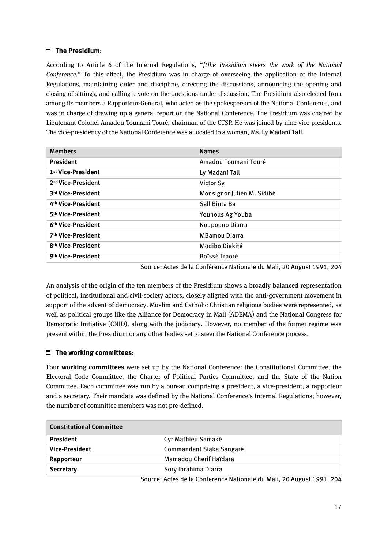#### **The Presidium**:

According to Article 6 of the Internal Regulations, "*[t]he Presidium steers the work of the National Conference.*" To this effect, the Presidium was in charge of overseeing the application of the Internal Regulations, maintaining order and discipline, directing the discussions, announcing the opening and closing of sittings, and calling a vote on the questions under discussion. The Presidium also elected from among its members a Rapporteur-General, who acted as the spokesperson of the National Conference, and was in charge of drawing up a general report on the National Conference. The Presidium was chaired by Lieutenant-Colonel Amadou Toumani Touré, chairman of the CTSP. He was joined by nine vice-presidents. The vice-presidency of the National Conference was allocated to a woman, Ms. Ly Madani Tall.

| <b>Members</b>                 | <b>Names</b>               |
|--------------------------------|----------------------------|
| <b>President</b>               | Amadou Toumani Touré       |
| 1 <sup>st</sup> Vice-President | Ly Madani Tall             |
| 2 <sup>nd</sup> Vice-President | Victor Sy                  |
| 3rd Vice-President             | Monsignor Julien M. Sidibé |
| 4th Vice-President             | Sall Binta Ba              |
| 5th Vice-President             | <b>Younous Ag Youba</b>    |
| 6th Vice-President             | Noupouno Diarra            |
| 7th Vice-President             | <b>MBamou Diarra</b>       |
| 8 <sup>th</sup> Vice-President | Modibo Diakité             |
| 9th Vice-President             | Boïssé Traoré              |

Source: Actes de la Conférence Nationale du Mali, 20 August 1991, 204

An analysis of the origin of the ten members of the Presidium shows a broadly balanced representation of political, institutional and civil-society actors, closely aligned with the anti-government movement in support of the advent of democracy. Muslim and Catholic Christian religious bodies were represented, as well as political groups like the Alliance for Democracy in Mali (ADEMA) and the National Congress for Democratic Initiative (CNID), along with the judiciary. However, no member of the former regime was present within the Presidium or any other bodies set to steer the National Conference process.

#### **The working committees:**

Four **working committees** were set up by the National Conference: the Constitutional Committee, the Electoral Code Committee, the Charter of Political Parties Committee, and the State of the Nation Committee. Each committee was run by a bureau comprising a president, a vice-president, a rapporteur and a secretary. Their mandate was defined by the National Conference's Internal Regulations; however, the number of committee members was not pre-defined.

| <b>Constitutional Committee</b> |        |                                         |
|---------------------------------|--------|-----------------------------------------|
| <b>President</b>                |        | Cyr Mathieu Samaké                      |
| <b>Vice-President</b>           |        | Commandant Siaka Sangaré                |
| Rapporteur                      |        | Mamadou Cherif Haïdara                  |
| <b>Secretary</b>                |        | Sory Ibrahima Diarra                    |
|                                 | $\sim$ | $\sim$ $\sim$ $\sim$ $\sim$ $\sim$<br>. |

Source: Actes de la Conférence Nationale du Mali, 20 August 1991, 204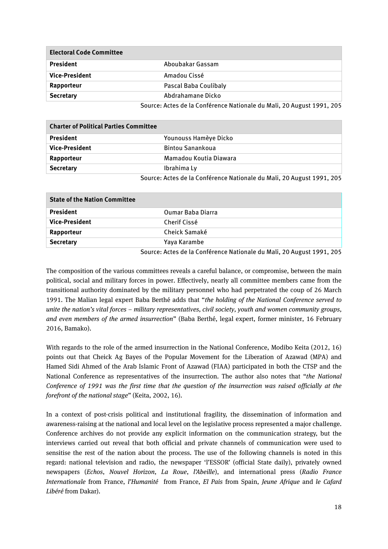| <b>Electoral Code Committee</b> |                                                                       |  |
|---------------------------------|-----------------------------------------------------------------------|--|
| <b>President</b>                | Aboubakar Gassam                                                      |  |
| <b>Vice-President</b>           | Amadou Cissé                                                          |  |
| Rapporteur                      | Pascal Baba Coulibaly                                                 |  |
| <b>Secretary</b>                | Abdrahamane Dicko                                                     |  |
|                                 | Source: Actes de la Conférence Nationale du Mali, 20 August 1991, 205 |  |

| <b>Charter of Political Parties Committee</b> |                                                                       |  |
|-----------------------------------------------|-----------------------------------------------------------------------|--|
| <b>President</b>                              | Younouss Hamèye Dicko                                                 |  |
| <b>Vice-President</b>                         | <b>Bintou Sanankoua</b>                                               |  |
| Rapporteur                                    | Mamadou Koutia Diawara                                                |  |
| <b>Secretary</b>                              | Ibrahima Ly                                                           |  |
|                                               | Source: Actes de la Conférence Nationale du Mali, 20 August 1991, 205 |  |

| <b>State of the Nation Committee</b> |                          |  |
|--------------------------------------|--------------------------|--|
| <b>President</b>                     | <b>Oumar Baba Diarra</b> |  |
| <b>Vice-President</b>                | Cherif Cissé             |  |
| Rapporteur                           | Cheick Samaké            |  |
| <b>Secretary</b>                     | Yaya Karambe             |  |
|                                      | .<br>.                   |  |

Source: Actes de la Conférence Nationale du Mali, 20 August 1991, 205

The composition of the various committees reveals a careful balance, or compromise, between the main political, social and military forces in power. Effectively, nearly all committee members came from the transitional authority dominated by the military personnel who had perpetrated the coup of 26 March 1991. The Malian legal expert Baba Berthé adds that "*the holding of the National Conference served to unite the nation's vital forces – military representatives, civil society, youth and women community groups, and even members of the armed insurrection*" (Baba Berthé, legal expert, former minister, 16 February 2016, Bamako).

With regards to the role of the armed insurrection in the National Conference, Modibo Keita (2012, 16) points out that Cheick Ag Bayes of the Popular Movement for the Liberation of Azawad (MPA) and Hamed Sidi Ahmed of the Arab Islamic Front of Azawad (FIAA) participated in both the CTSP and the National Conference as representatives of the insurrection. The author also notes that "*the National Conference of 1991 was the first time that the question of the insurrection was raised officially at the forefront of the national stage*" (Keita, 2002, 16).

In a context of post-crisis political and institutional fragility, the dissemination of information and awareness-raising at the national and local level on the legislative process represented a major challenge. Conference archives do not provide any explicit information on the communication strategy, but the interviews carried out reveal that both official and private channels of communication were used to sensitise the rest of the nation about the process. The use of the following channels is noted in this regard: national television and radio, the newspaper 'l'ESSOR' (official State daily), privately owned newspapers (*Echos*, *Nouvel Horizon*, *La Roue*, *l'Abeille*), and international press (*Radio France Internationale* from France, *l'Humanité* from France, *El Pais* from Spain, *Jeune Afrique* and *le Cafard Libéré* from Dakar).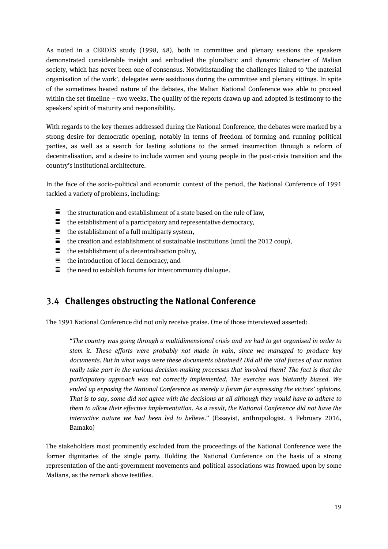As noted in a CERDES study (1998, 48), both in committee and plenary sessions the speakers demonstrated considerable insight and embodied the pluralistic and dynamic character of Malian society, which has never been one of consensus. Notwithstanding the challenges linked to 'the material organisation of the work', delegates were assiduous during the committee and plenary sittings. In spite of the sometimes heated nature of the debates, the Malian National Conference was able to proceed within the set timeline – two weeks. The quality of the reports drawn up and adopted is testimony to the speakers' spirit of maturity and responsibility.

With regards to the key themes addressed during the National Conference, the debates were marked by a strong desire for democratic opening, notably in terms of freedom of forming and running political parties, as well as a search for lasting solutions to the armed insurrection through a reform of decentralisation, and a desire to include women and young people in the post-crisis transition and the country's institutional architecture.

In the face of the socio-political and economic context of the period, the National Conference of 1991 tackled a variety of problems, including:

- $\equiv$ the structuration and establishment of a state based on the rule of law,
- $\equiv$  the establishment of a participatory and representative democracy,
- $\equiv$  the establishment of a full multiparty system,
- $\equiv$ the creation and establishment of sustainable institutions (until the 2012 coup),
- $\equiv$  the establishment of a decentralisation policy,
- $\equiv$  the introduction of local democracy, and
- $\equiv$  the need to establish forums for intercommunity dialogue.

#### <span id="page-18-0"></span>3.4 **Challenges obstructing the National Conference**

The 1991 National Conference did not only receive praise. One of those interviewed asserted:

"*The country was going through a multidimensional crisis and we had to get organised in order to stem it. These efforts were probably not made in vain, since we managed to produce key documents. But in what ways were these documents obtained? Did all the vital forces of our nation really take part in the various decision-making processes that involved them? The fact is that the participatory approach was not correctly implemented. The exercise was blatantly biased. We ended up exposing the National Conference as merely a forum for expressing the victors' opinions. That is to say, some did not agree with the decisions at all although they would have to adhere to them to allow their effective implementation. As a result, the National Conference did not have the interactive nature we had been led to believe.*" (Essayist, anthropologist, 4 February 2016, Bamako)

The stakeholders most prominently excluded from the proceedings of the National Conference were the former dignitaries of the single party. Holding the National Conference on the basis of a strong representation of the anti-government movements and political associations was frowned upon by some Malians, as the remark above testifies.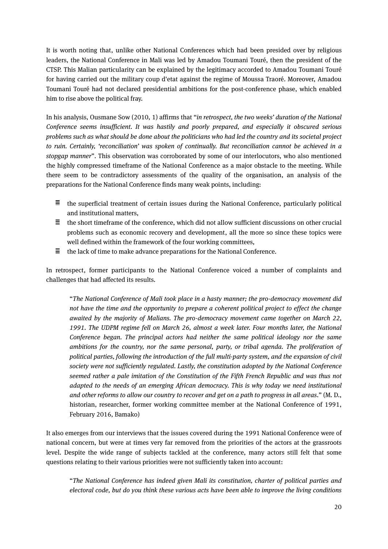It is worth noting that, unlike other National Conferences which had been presided over by religious leaders, the National Conference in Mali was led by Amadou Toumani Touré, then the president of the CTSP. This Malian particularity can be explained by the legitimacy accorded to Amadou Toumani Touré for having carried out the military coup d'etat against the regime of Moussa Traoré. Moreover, Amadou Toumani Touré had not declared presidential ambitions for the post-conference phase, which enabled him to rise above the political fray.

In his analysis, Ousmane Sow (2010, 1) affirms that "*in retrospect, the two weeks' duration of the National Conference seems insufficient. It was hastily and poorly prepared, and especially it obscured serious problems such as what should be done about the politicians who had led the country and its societal project to ruin. Certainly, 'reconciliation' was spoken of continually. But reconciliation cannot be achieved in a stopgap manner*". This observation was corroborated by some of our interlocutors, who also mentioned the highly compressed timeframe of the National Conference as a major obstacle to the meeting. While there seem to be contradictory assessments of the quality of the organisation, an analysis of the preparations for the National Conference finds many weak points, including:

- $\equiv$  the superficial treatment of certain issues during the National Conference, particularly political and institutional matters,
- $\equiv$  the short timeframe of the conference, which did not allow sufficient discussions on other crucial problems such as economic recovery and development, all the more so since these topics were well defined within the framework of the four working committees,
- 富士 the lack of time to make advance preparations for the National Conference.

In retrospect, former participants to the National Conference voiced a number of complaints and challenges that had affected its results.

"*The National Conference of Mali took place in a hasty manner; the pro-democracy movement did not have the time and the opportunity to prepare a coherent political project to effect the change awaited by the majority of Malians. The pro-democracy movement came together on March 22,*  1991. The UDPM regime fell on March 26, almost a week later. Four months later, the National *Conference began. The principal actors had neither the same political ideology nor the same ambitions for the country, nor the same personal, party, or tribal agenda. The proliferation of political parties, following the introduction of the full multi-party system, and the expansion of civil society were not sufficiently regulated. Lastly, the constitution adopted by the National Conference seemed rather a pale imitation of the Constitution of the Fifth French Republic and was thus not adapted to the needs of an emerging African democracy. This is why today we need institutional and other reforms to allow our country to recover and get on a path to progress in all areas*." (M. D., historian, researcher, former working committee member at the National Conference of 1991, February 2016, Bamako)

It also emerges from our interviews that the issues covered during the 1991 National Conference were of national concern, but were at times very far removed from the priorities of the actors at the grassroots level. Despite the wide range of subjects tackled at the conference, many actors still felt that some questions relating to their various priorities were not sufficiently taken into account:

"*The National Conference has indeed given Mali its constitution, charter of political parties and electoral code, but do you think these various acts have been able to improve the living conditions*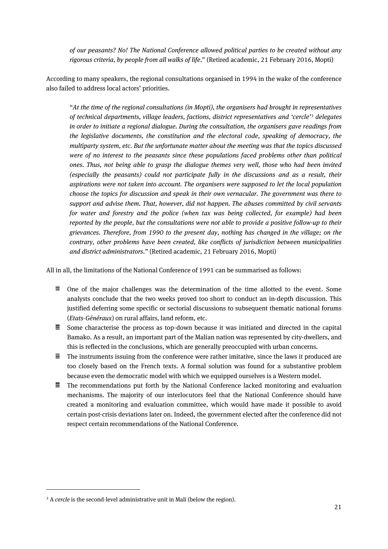*of our peasants? No! The National Conference allowed political parties to be created without any rigorous criteria, by people from all walks of life*." (Retired academic, 21 February 2016, Mopti)

According to many speakers, the regional consultations organised in 1994 in the wake of the conference also failed to address local actors' priorities.

"*At the time of the regional consultations (in Mopti), the organisers had brought in representatives of technical departments, village leaders, factions, district representatives and 'cercle'[3](#page-20-0) delegates in order to initiate a regional dialogue. During the consultation, the organisers gave readings from the legislative documents, the constitution and the electoral code, speaking of democracy, the multiparty system, etc. But the unfortunate matter about the meeting was that the topics discussed were of no interest to the peasants since these populations faced problems other than political ones. Thus, not being able to grasp the dialogue themes very well, those who had been invited (especially the peasants) could not participate fully in the discussions and as a result, their aspirations were not taken into account. The organisers were supposed to let the local population choose the topics for discussion and speak in their own vernacular. The government was there to support and advise them. That, however, did not happen. The abuses committed by civil servants for water and forestry and the police (when tax was being collected, for example) had been reported by the people, but the consultations were not able to provide a positive follow-up to their grievances. Therefore, from 1990 to the present day, nothing has changed in the village; on the contrary, other problems have been created, like conflicts of jurisdiction between municipalities and district administrators*." (Retired academic, 21 February 2016, Mopti)

All in all, the limitations of the National Conference of 1991 can be summarised as follows:

- $\equiv$  One of the major challenges was the determination of the time allotted to the event. Some analysts conclude that the two weeks proved too short to conduct an in-depth discussion. This justified deferring some specific or sectorial discussions to subsequent thematic national forums (*Etats-Généraux*) on rural affairs, land reform, etc.
- $\equiv$  Some characterise the process as top-down because it was initiated and directed in the capital Bamako. As a result, an important part of the Malian nation was represented by city-dwellers, and this is reflected in the conclusions, which are generally preoccupied with urban concerns.
- $\equiv$  The instruments issuing from the conference were rather imitative, since the laws it produced are too closely based on the French texts. A formal solution was found for a substantive problem because even the democratic model with which we equipped ourselves is a Western model.
- $\equiv$  The recommendations put forth by the National Conference lacked monitoring and evaluation mechanisms. The majority of our interlocutors feel that the National Conference should have created a monitoring and evaluation committee, which would have made it possible to avoid certain post-crisis deviations later on. Indeed, the government elected after the conference did not respect certain recommendations of the National Conference.

1

<span id="page-20-0"></span><sup>&</sup>lt;sup>3</sup> A *cercle* is the second-level administrative unit in Mali (below the region).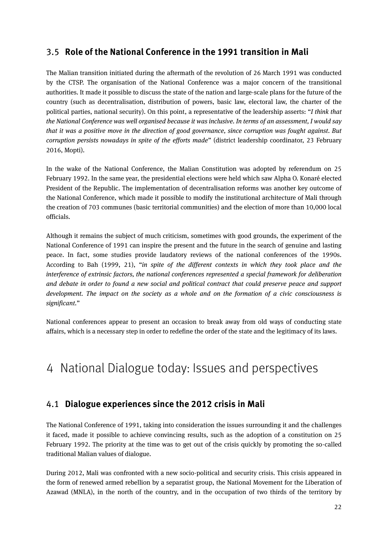#### <span id="page-21-0"></span>3.5 **Role of the National Conference in the 1991 transition in Mali**

The Malian transition initiated during the aftermath of the revolution of 26 March 1991 was conducted by the CTSP. The organisation of the National Conference was a major concern of the transitional authorities. It made it possible to discuss the state of the nation and large-scale plans for the future of the country (such as decentralisation, distribution of powers, basic law, electoral law, the charter of the political parties, national security). On this point, a representative of the leadership asserts: "*I think that the National Conference was well organised because it was inclusive. In terms of an assessment, I would say that it was a positive move in the direction of good governance, since corruption was fought against. But corruption persists nowadays in spite of the efforts made*" (district leadership coordinator, 23 February 2016, Mopti).

In the wake of the National Conference, the Malian Constitution was adopted by referendum on 25 February 1992. In the same year, the presidential elections were held which saw Alpha O. Konaré elected President of the Republic. The implementation of decentralisation reforms was another key outcome of the National Conference, which made it possible to modify the institutional architecture of Mali through the creation of 703 communes (basic territorial communities) and the election of more than 10,000 local officials.

Although it remains the subject of much criticism, sometimes with good grounds, the experiment of the National Conference of 1991 can inspire the present and the future in the search of genuine and lasting peace. In fact, some studies provide laudatory reviews of the national conferences of the 1990s. According to Bah (1999, 21), "*in spite of the different contexts in which they took place and the interference of extrinsic factors, the national conferences represented a special framework for deliberation and debate in order to found a new social and political contract that could preserve peace and support development. The impact on the society as a whole and on the formation of a civic consciousness is significant.*"

National conferences appear to present an occasion to break away from old ways of conducting state affairs, which is a necessary step in order to redefine the order of the state and the legitimacy of its laws.

## <span id="page-21-2"></span><span id="page-21-1"></span>4 National Dialogue today: Issues and perspectives

#### 4.1 **Dialogue experiences since the 2012 crisis in Mali**

The National Conference of 1991, taking into consideration the issues surrounding it and the challenges it faced, made it possible to achieve convincing results, such as the adoption of a constitution on 25 February 1992. The priority at the time was to get out of the crisis quickly by promoting the so-called traditional Malian values of dialogue.

During 2012, Mali was confronted with a new socio-political and security crisis. This crisis appeared in the form of renewed armed rebellion by a separatist group, the National Movement for the Liberation of Azawad (MNLA), in the north of the country, and in the occupation of two thirds of the territory by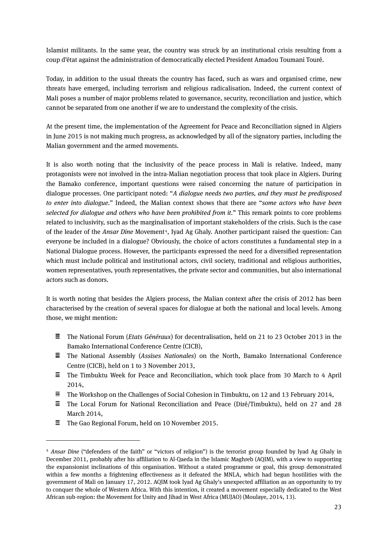Islamist militants. In the same year, the country was struck by an institutional crisis resulting from a coup d'état against the administration of democratically elected President Amadou Toumani Touré.

Today, in addition to the usual threats the country has faced, such as wars and organised crime, new threats have emerged, including terrorism and religious radicalisation. Indeed, the current context of Mali poses a number of major problems related to governance, security, reconciliation and justice, which cannot be separated from one another if we are to understand the complexity of the crisis.

At the present time, the implementation of the Agreement for Peace and Reconciliation signed in Algiers in June 2015 is not making much progress, as acknowledged by all of the signatory parties, including the Malian government and the armed movements.

It is also worth noting that the inclusivity of the peace process in Mali is relative. Indeed, many protagonists were not involved in the intra-Malian negotiation process that took place in Algiers. During the Bamako conference, important questions were raised concerning the nature of participation in dialogue processes. One participant noted: "*A dialogue needs two parties, and they must be predisposed to enter into dialogue.*" Indeed, the Malian context shows that there are "*some actors who have been selected for dialogue and others who have been prohibited from it.*" This remark points to core problems related to inclusivity, such as the marginalisation of important stakeholders of the crisis. Such is the case of the leader of the *Ansar Dine* Movement<sup>4</sup>, Iyad Ag Ghaly. Another participant raised the question: Can everyone be included in a dialogue? Obviously, the choice of actors constitutes a fundamental step in a National Dialogue process. However, the participants expressed the need for a diversified representation which must include political and institutional actors, civil society, traditional and religious authorities, women representatives, youth representatives, the private sector and communities, but also international actors such as donors.

It is worth noting that besides the Algiers process, the Malian context after the crisis of 2012 has been characterised by the creation of several spaces for dialogue at both the national and local levels. Among those, we might mention:

- The National Forum (*Etats Généraux*) for decentralisation, held on 21 to 23 October 2013 in the Bamako International Conference Centre (CICB),
- The National Assembly (*Assises Nationales*) on the North, Bamako International Conference Centre (CICB), held on 1 to 3 November 2013,
- $\equiv$  The Timbuktu Week for Peace and Reconciliation, which took place from 30 March to 4 April 2014,
- $\equiv$  The Workshop on the Challenges of Social Cohesion in Timbuktu, on 12 and 13 February 2014,
- $\equiv$  The Local Forum for National Reconciliation and Peace (Diré/Timbuktu), held on 27 and 28 March 2014,
- $\equiv$  The Gao Regional Forum, held on 10 November 2015.

**.** 

<span id="page-22-0"></span><sup>4</sup> *Ansar Dine* ("defenders of the faith" or "victors of religion") is the terrorist group founded by Iyad Ag Ghaly in December 2011, probably after his affiliation to Al-Qaeda in the Islamic Maghreb (AQIM), with a view to supporting the expansionist inclinations of this organisation. Without a stated programme or goal, this group demonstrated within a few months a frightening effectiveness as it defeated the MNLA, which had begun hostilities with the government of Mali on January 17, 2012. AQIM took Iyad Ag Ghaly's unexpected affiliation as an opportunity to try to conquer the whole of Western Africa. With this intention, it created a movement especially dedicated to the West African sub-region: the Movement for Unity and Jihad in West Africa (MUJAO) (Moulaye, 2014, 13).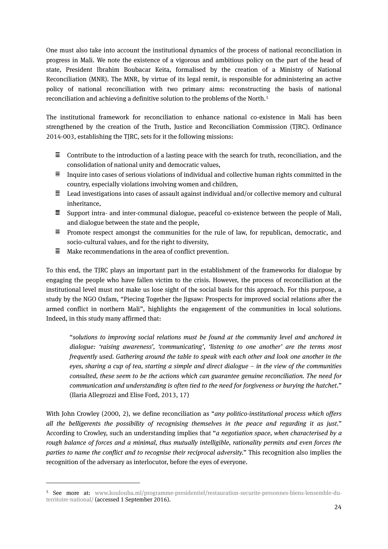One must also take into account the institutional dynamics of the process of national reconciliation in progress in Mali. We note the existence of a vigorous and ambitious policy on the part of the head of state, President Ibrahim Boubacar Keita, formalised by the creation of a Ministry of National Reconciliation (MNR). The MNR, by virtue of its legal remit, is responsible for administering an active policy of national reconciliation with two primary aims: reconstructing the basis of national reconciliation and achieving a definitive solution to the problems of the North.[5](#page-23-0)

The institutional framework for reconciliation to enhance national co-existence in Mali has been strengthened by the creation of the Truth, Justice and Reconciliation Commission (TJRC). Ordinance 2014-003, establishing the TJRC, sets for it the following missions:

- $\equiv$  Contribute to the introduction of a lasting peace with the search for truth, reconciliation, and the consolidation of national unity and democratic values,
- $\equiv$  Inquire into cases of serious violations of individual and collective human rights committed in the country, especially violations involving women and children,
- $\equiv$  Lead investigations into cases of assault against individual and/or collective memory and cultural inheritance,
- $\Xi$  Support intra- and inter-communal dialogue, peaceful co-existence between the people of Mali, and dialogue between the state and the people,
- $\equiv$  Promote respect amongst the communities for the rule of law, for republican, democratic, and socio-cultural values, and for the right to diversity,
- 目。 Make recommendations in the area of conflict prevention.

**.** 

To this end, the TJRC plays an important part in the establishment of the frameworks for dialogue by engaging the people who have fallen victim to the crisis. However, the process of reconciliation at the institutional level must not make us lose sight of the social basis for this approach. For this purpose, a study by the NGO Oxfam, "Piecing Together the Jigsaw: Prospects for improved social relations after the armed conflict in northern Mali", highlights the engagement of the communities in local solutions. Indeed, in this study many affirmed that:

"*solutions to improving social relations must be found at the community level and anchored in dialogue: 'raising awareness', 'communicating', 'listening to one another' are the terms most frequently used. Gathering around the table to speak with each other and look one another in the eyes, sharing a cup of tea, starting a simple and direct dialogue – in the view of the communities consulted, these seem to be the actions which can guarantee genuine reconciliation. The need for communication and understanding is often tied to the need for forgiveness or burying the hatchet*." (Ilaria Allegrozzi and Elise Ford, 2013, 17)

With John Crowley (2000, 2), we define reconciliation as "*any politico-institutional process which offers all the belligerents the possibility of recognising themselves in the peace and regarding it as just.*" According to Crowley, such an understanding implies that "*a negotiation space, when characterised by a rough balance of forces and a minimal, thus mutually intelligible, rationality permits and even forces the parties to name the conflict and to recognise their reciprocal adversity.*" This recognition also implies the recognition of the adversary as interlocutor, before the eyes of everyone.

<span id="page-23-0"></span><sup>5</sup> See more at: [www.koulouba.ml/programme-presidentiel/restauration-securite-personnes-biens-lensemble-du](http://www.koulouba.ml/programme-presidentiel/restauration-securite-personnes-biens-lensemble-du-territoire-national/)[territoire-national/](http://www.koulouba.ml/programme-presidentiel/restauration-securite-personnes-biens-lensemble-du-territoire-national/) (accessed 1 September 2016).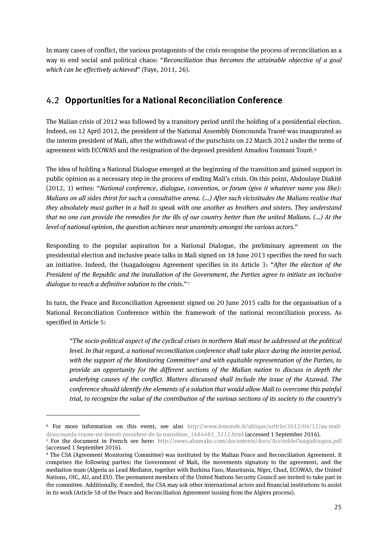In many cases of conflict, the various protagonists of the crisis recognise the process of reconciliation as a way to end social and political chaos: "*Reconciliation thus becomes the attainable objective of a goal which can be effectively achieved*" *(*Faye, 2011, 26).

### <span id="page-24-0"></span>4.2 **Opportunities for a National Reconciliation Conference**

The Malian crisis of 2012 was followed by a transitory period until the holding of a presidential election. Indeed, on 12 April 2012, the president of the National Assembly Dioncounda Traoré was inaugurated as the interim president of Mali, after the withdrawal of the putschists on 22 March 2012 under the terms of agreement with ECOWAS and the resignation of the deposed president Amadou Toumani Touré.<sup>[6](#page-24-1)</sup>

The idea of holding a National Dialogue emerged at the beginning of the transition and gained support in public opinion as a necessary step in the process of ending Mali's crisis. On this point, Abdoulaye Diakité (2012, 1) writes: "*National conference, dialogue, convention, or forum (give it whatever name you like): Malians on all sides thirst for such a consultative arena. (…) After such vicissitudes the Malians realise that they absolutely must gather in a hall to speak with one another as brothers and sisters. They understand that no one can provide the remedies for the ills of our country better than the united Malians. (…) At the level of national opinion, the question achieves near unanimity amongst the various actors.*"

Responding to the popular aspiration for a National Dialogue, the preliminary agreement on the presidential election and inclusive peace talks in Mali signed on 18 June 2013 specifies the need for such an initiative. Indeed, the Ouagadougou Agreement specifies in its Article 3: "*After the election of the President of the Republic and the installation of the Government, the Parties agree to initiate an inclusive dialogue to reach a definitive solution to the crisis*."[7](#page-24-2)

In turn, the Peace and Reconciliation Agreement signed on 20 June 2015 calls for the organisation of a National Reconciliation Conference within the framework of the national reconciliation process. As specified in Article 5:

"*The socio-political aspect of the cyclical crises in northern Mali must be addressed at the political level. In that regard, a national reconciliation conference shall take place during the interim period, with the support of the Monitoring Committee[8](#page-24-3) and with equitable representation of the Parties, to provide an opportunity for the different sections of the Malian nation to discuss in depth the underlying causes of the conflict. Matters discussed shall include the issue of the Azawad. The conference should identify the elements of a solution that would allow Mali to overcome this painful trial, to recognize the value of the contribution of the various sections of its society to the country's* 

**.** 

<span id="page-24-1"></span><sup>6</sup> For more information on this event, see also [http://www.lemonde.fr/afrique/article/2012/04/12/au-mali](http://www.lemonde.fr/afrique/article/2012/04/12/au-mali-dioncounda-traore-est-investi-president-de-la-transition_1684481_3212.html)[dioncounda-traore-est-investi-president-de-la-transition\\_1684481\\_3212.html](http://www.lemonde.fr/afrique/article/2012/04/12/au-mali-dioncounda-traore-est-investi-president-de-la-transition_1684481_3212.html) (accessed 1 September 2016). <sup>7</sup> For the document in French see here: <http://news.abamako.com/documents/docs/AccorddeOuagadougou.pdf>

<span id="page-24-2"></span><sup>(</sup>accessed 1 September 2016).

<span id="page-24-3"></span><sup>8</sup> The CSA (Agreement Monitoring Committee) was instituted by the Malian Peace and Reconciliation Agreement. It comprises the following parties: the Government of Mali, the movements signatory to the agreement, and the mediation team (Algeria as Lead Mediator, together with Burkina Faso, Mauritania, Niger, Chad, ECOWAS, the United Nations, OIC, AU, and EU). The permanent members of the United Nations Security Council are invited to take part in the committee. Additionally, if needed, the CSA may ask other international actors and financial institutions to assist in its work (Article 58 of the Peace and Reconciliation Agreement issuing from the Algiers process).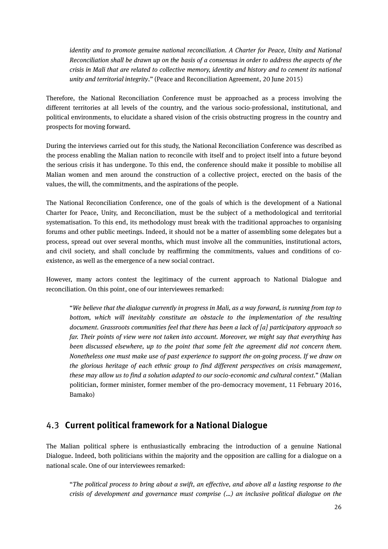*identity and to promote genuine national reconciliation. A Charter for Peace, Unity and National Reconciliation shall be drawn up on the basis of a consensus in order to address the aspects of the crisis in Mali that are related to collective memory, identity and history and to cement its national unity and territorial integrity*." (Peace and Reconciliation Agreement, 20 June 2015)

Therefore, the National Reconciliation Conference must be approached as a process involving the different territories at all levels of the country, and the various socio-professional, institutional, and political environments, to elucidate a shared vision of the crisis obstructing progress in the country and prospects for moving forward.

During the interviews carried out for this study, the National Reconciliation Conference was described as the process enabling the Malian nation to reconcile with itself and to project itself into a future beyond the serious crisis it has undergone. To this end, the conference should make it possible to mobilise all Malian women and men around the construction of a collective project, erected on the basis of the values, the will, the commitments, and the aspirations of the people.

The National Reconciliation Conference, one of the goals of which is the development of a National Charter for Peace, Unity, and Reconciliation, must be the subject of a methodological and territorial systematisation. To this end, its methodology must break with the traditional approaches to organising forums and other public meetings. Indeed, it should not be a matter of assembling some delegates but a process, spread out over several months, which must involve all the communities, institutional actors, and civil society, and shall conclude by reaffirming the commitments, values and conditions of coexistence, as well as the emergence of a new social contract.

However, many actors contest the legitimacy of the current approach to National Dialogue and reconciliation. On this point, one of our interviewees remarked:

"*We believe that the dialogue currently in progress in Mali, as a way forward, is running from top to*  bottom, which will inevitably constitute an obstacle to the implementation of the resulting *document. Grassroots communities feel that there has been a lack of [a] participatory approach so far. Their points of view were not taken into account. Moreover, we might say that everything has been discussed elsewhere, up to the point that some felt the agreement did not concern them. Nonetheless one must make use of past experience to support the on-going process. If we draw on the glorious heritage of each ethnic group to find different perspectives on crisis management, these may allow us to find a solution adapted to our socio-economic and cultural context.*" (Malian politician, former minister, former member of the pro-democracy movement, 11 February 2016, Bamako)

#### <span id="page-25-0"></span>4.3 **Current political framework for a National Dialogue**

The Malian political sphere is enthusiastically embracing the introduction of a genuine National Dialogue. Indeed, both politicians within the majority and the opposition are calling for a dialogue on a national scale. One of our interviewees remarked:

"*The political process to bring about a swift, an effective, and above all a lasting response to the crisis of development and governance must comprise (…) an inclusive political dialogue on the*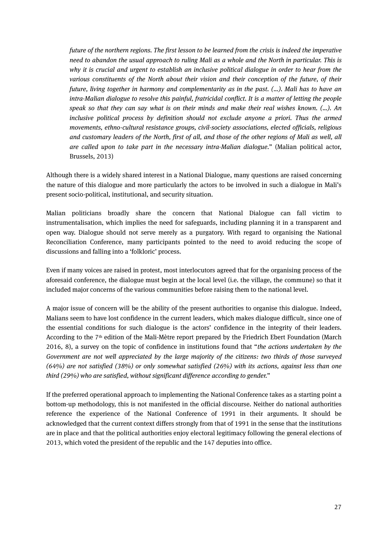*future of the northern regions. The first lesson to be learned from the crisis is indeed the imperative need to abandon the usual approach to ruling Mali as a whole and the North in particular. This is why it is crucial and urgent to establish an inclusive political dialogue in order to hear from the various constituents of the North about their vision and their conception of the future, of their future, living together in harmony and complementarity as in the past. (…). Mali has to have an intra-Malian dialogue to resolve this painful, fratricidal conflict. It is a matter of letting the people speak so that they can say what is on their minds and make their real wishes known. (…). An inclusive political process by definition should not exclude anyone a priori. Thus the armed movements, ethno-cultural resistance groups, civil-society associations, elected officials, religious and customary leaders of the North, first of all, and those of the other regions of Mali as well, all are called upon to take part in the necessary intra-Malian dialogue.*" (Malian political actor, Brussels, 2013)

Although there is a widely shared interest in a National Dialogue, many questions are raised concerning the nature of this dialogue and more particularly the actors to be involved in such a dialogue in Mali's present socio-political, institutional, and security situation.

Malian politicians broadly share the concern that National Dialogue can fall victim to instrumentalisation, which implies the need for safeguards, including planning it in a transparent and open way. Dialogue should not serve merely as a purgatory. With regard to organising the National Reconciliation Conference, many participants pointed to the need to avoid reducing the scope of discussions and falling into a 'folkloric' process.

Even if many voices are raised in protest, most interlocutors agreed that for the organising process of the aforesaid conference, the dialogue must begin at the local level (i.e. the village, the commune) so that it included major concerns of the various communities before raising them to the national level.

A major issue of concern will be the ability of the present authorities to organise this dialogue. Indeed, Malians seem to have lost confidence in the current leaders, which makes dialogue difficult, since one of the essential conditions for such dialogue is the actors' confidence in the integrity of their leaders. According to the 7<sup>th</sup> edition of the Mali-Mètre report prepared by the Friedrich Ebert Foundation (March 2016, 8), a survey on the topic of confidence in institutions found that "*the actions undertaken by the Government are not well appreciated by the large majority of the citizens: two thirds of those surveyed (64%) are not satisfied (38%) or only somewhat satisfied (26%) with its actions, against less than one third (29%) who are satisfied, without significant difference according to gender.*"

If the preferred operational approach to implementing the National Conference takes as a starting point a bottom-up methodology, this is not manifested in the official discourse. Neither do national authorities reference the experience of the National Conference of 1991 in their arguments. It should be acknowledged that the current context differs strongly from that of 1991 in the sense that the institutions are in place and that the political authorities enjoy electoral legitimacy following the general elections of 2013, which voted the president of the republic and the 147 deputies into office.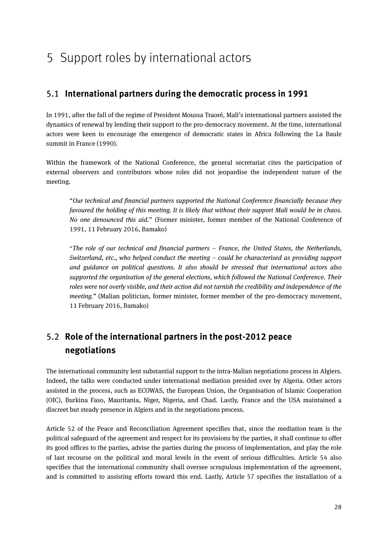## <span id="page-27-1"></span><span id="page-27-0"></span>5 Support roles by international actors

#### 5.1 **International partners during the democratic process in 1991**

In 1991, after the fall of the regime of President Moussa Traoré, Mali's international partners assisted the dynamics of renewal by lending their support to the pro-democracy movement. At the time, international actors were keen to encourage the emergence of democratic states in Africa following the La Baule summit in France (1990).

Within the framework of the National Conference, the general secretariat cites the participation of external observers and contributors whose roles did not jeopardise the independent nature of the meeting.

"*Our technical and financial partners supported the National Conference financially because they favoured the holding of this meeting. It is likely that without their support Mali would be in chaos. No one denounced this aid.*" (Former minister, former member of the National Conference of 1991, 11 February 2016, Bamako)

"*The role of our technical and financial partners – France, the United States, the Netherlands, Switzerland, etc., who helped conduct the meeting – could be characterised as providing support and guidance on political questions. It also should be stressed that international actors also supported the organisation of the general elections, which followed the National Conference. Their roles were not overly visible, and their action did not tarnish the credibility and independence of the meeting."* (Malian politician, former minister, former member of the pro-democracy movement, 11 February 2016, Bamako)

## <span id="page-27-2"></span>5.2 **Role of the international partners in the post-2012 peace negotiations**

The international community lent substantial support to the intra-Malian negotiations process in Algiers. Indeed, the talks were conducted under international mediation presided over by Algeria. Other actors assisted in the process, such as ECOWAS, the European Union, the Organisation of Islamic Cooperation (OIC), Burkina Faso, Mauritania, Niger, Nigeria, and Chad. Lastly, France and the USA maintained a discreet but steady presence in Algiers and in the negotiations process.

Article 52 of the Peace and Reconciliation Agreement specifies that, since the mediation team is the political safeguard of the agreement and respect for its provisions by the parties, it shall continue to offer its good offices to the parties, advise the parties during the process of implementation, and play the role of last recourse on the political and moral levels in the event of serious difficulties. Article 54 also specifies that the international community shall oversee scrupulous implementation of the agreement, and is committed to assisting efforts toward this end. Lastly, Article 57 specifies the installation of a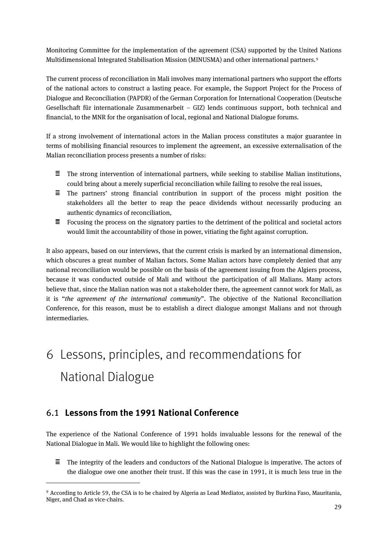Monitoring Committee for the implementation of the agreement (CSA) supported by the United Nations Multidimensional Integrated Stabilisation Mission (MINUSMA) and other international partners.[9](#page-28-2)

The current process of reconciliation in Mali involves many international partners who support the efforts of the national actors to construct a lasting peace. For example, the Support Project for the Process of Dialogue and Reconciliation (PAPDR) of the German Corporation for International Cooperation (Deutsche Gesellschaft für internationale Zusammenarbeit – GIZ) lends continuous support, both technical and financial, to the MNR for the organisation of local, regional and National Dialogue forums.

If a strong involvement of international actors in the Malian process constitutes a major guarantee in terms of mobilising financial resources to implement the agreement, an excessive externalisation of the Malian reconciliation process presents a number of risks:

- The strong intervention of international partners, while seeking to stabilise Malian institutions, Ξ. could bring about a merely superficial reconciliation while failing to resolve the real issues,
- $\equiv$  The partners' strong financial contribution in support of the process might position the stakeholders all the better to reap the peace dividends without necessarily producing an authentic dynamics of reconciliation,
- $\equiv$  Focusing the process on the signatory parties to the detriment of the political and societal actors would limit the accountability of those in power, vitiating the fight against corruption.

It also appears, based on our interviews, that the current crisis is marked by an international dimension, which obscures a great number of Malian factors. Some Malian actors have completely denied that any national reconciliation would be possible on the basis of the agreement issuing from the Algiers process, because it was conducted outside of Mali and without the participation of all Malians. Many actors believe that, since the Malian nation was not a stakeholder there, the agreement cannot work for Mali, as it is "*the agreement of the international community*". The objective of the National Reconciliation Conference, for this reason, must be to establish a direct dialogue amongst Malians and not through intermediaries.

# <span id="page-28-0"></span>6 Lessons, principles, and recommendations for National Dialogue

#### <span id="page-28-1"></span>6.1 **Lessons from the 1991 National Conference**

**.** 

The experience of the National Conference of 1991 holds invaluable lessons for the renewal of the National Dialogue in Mali. We would like to highlight the following ones:

 $\equiv$ The integrity of the leaders and conductors of the National Dialogue is imperative. The actors of the dialogue owe one another their trust. If this was the case in 1991, it is much less true in the

<span id="page-28-2"></span><sup>9</sup> According to Article 59, the CSA is to be chaired by Algeria as Lead Mediator, assisted by Burkina Faso, Mauritania, Niger, and Chad as vice-chairs.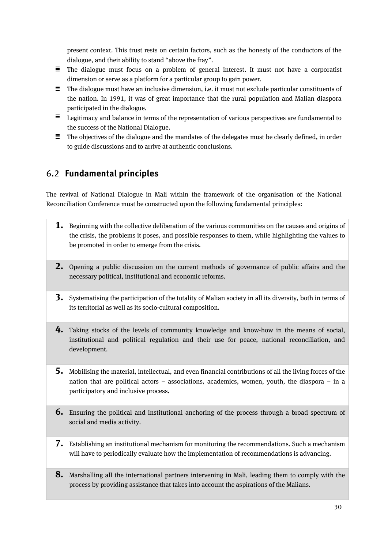present context. This trust rests on certain factors, such as the honesty of the conductors of the dialogue, and their ability to stand "above the fray".

- $\equiv$  The dialogue must focus on a problem of general interest. It must not have a corporatist dimension or serve as a platform for a particular group to gain power.
- $\equiv$  The dialogue must have an inclusive dimension, i.e. it must not exclude particular constituents of the nation. In 1991, it was of great importance that the rural population and Malian diaspora participated in the dialogue.
- $\equiv$  Legitimacy and balance in terms of the representation of various perspectives are fundamental to the success of the National Dialogue.
- $\Xi$  The objectives of the dialogue and the mandates of the delegates must be clearly defined, in order to guide discussions and to arrive at authentic conclusions.

### <span id="page-29-0"></span>6.2 **Fundamental principles**

The revival of National Dialogue in Mali within the framework of the organisation of the National Reconciliation Conference must be constructed upon the following fundamental principles:

- **1.** Beginning with the collective deliberation of the various communities on the causes and origins of the crisis, the problems it poses, and possible responses to them, while highlighting the values to be promoted in order to emerge from the crisis.
- **2.** Opening a public discussion on the current methods of governance of public affairs and the necessary political, institutional and economic reforms.
- **3.** Systematising the participation of the totality of Malian society in all its diversity, both in terms of its territorial as well as its socio-cultural composition.
- **4.** Taking stocks of the levels of community knowledge and know-how in the means of social, institutional and political regulation and their use for peace, national reconciliation, and development.
- **5.** Mobilising the material, intellectual, and even financial contributions of all the living forces of the nation that are political actors – associations, academics, women, youth, the diaspora – in a participatory and inclusive process.
- **6.** Ensuring the political and institutional anchoring of the process through a broad spectrum of social and media activity.
- **7.** Establishing an institutional mechanism for monitoring the recommendations. Such a mechanism will have to periodically evaluate how the implementation of recommendations is advancing.
- **8.** Marshalling all the international partners intervening in Mali, leading them to comply with the process by providing assistance that takes into account the aspirations of the Malians.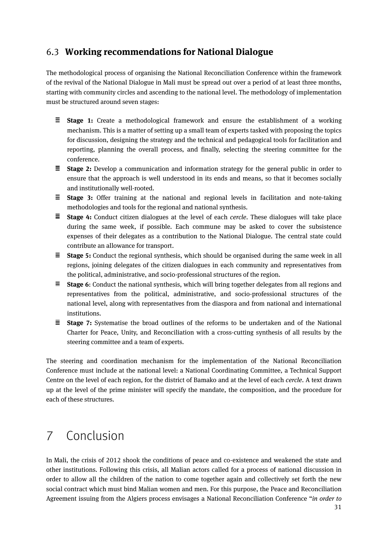### <span id="page-30-0"></span>6.3 **Working recommendations for National Dialogue**

The methodological process of organising the National Reconciliation Conference within the framework of the revival of the National Dialogue in Mali must be spread out over a period of at least three months, starting with community circles and ascending to the national level. The methodology of implementation must be structured around seven stages:

- **Stage 1:** Create a methodological framework and ensure the establishment of a working mechanism. This is a matter of setting up a small team of experts tasked with proposing the topics for discussion, designing the strategy and the technical and pedagogical tools for facilitation and reporting, planning the overall process, and finally, selecting the steering committee for the conference.
- **Stage 2:** Develop a communication and information strategy for the general public in order to ensure that the approach is well understood in its ends and means, so that it becomes socially and institutionally well-rooted.
- **E** Stage 3: Offer training at the national and regional levels in facilitation and note-taking methodologies and tools for the regional and national synthesis.
- **Stage 4:** Conduct citizen dialogues at the level of each *cercle*. These dialogues will take place during the same week, if possible. Each commune may be asked to cover the subsistence expenses of their delegates as a contribution to the National Dialogue. The central state could contribute an allowance for transport.
- **Stage 5:** Conduct the regional synthesis, which should be organised during the same week in all regions, joining delegates of the citizen dialogues in each community and representatives from the political, administrative, and socio-professional structures of the region.
- **Stage 6**: Conduct the national synthesis, which will bring together delegates from all regions and representatives from the political, administrative, and socio-professional structures of the national level, along with representatives from the diaspora and from national and international institutions.
- **E** Stage 7: Systematise the broad outlines of the reforms to be undertaken and of the National Charter for Peace, Unity, and Reconciliation with a cross-cutting synthesis of all results by the steering committee and a team of experts.

The steering and coordination mechanism for the implementation of the National Reconciliation Conference must include at the national level: a National Coordinating Committee, a Technical Support Centre on the level of each region, for the district of Bamako and at the level of each *cercle*. A text drawn up at the level of the prime minister will specify the mandate, the composition, and the procedure for each of these structures.

# <span id="page-30-1"></span>7 Conclusion

In Mali, the crisis of 2012 shook the conditions of peace and co-existence and weakened the state and other institutions. Following this crisis, all Malian actors called for a process of national discussion in order to allow all the children of the nation to come together again and collectively set forth the new social contract which must bind Malian women and men. For this purpose, the Peace and Reconciliation Agreement issuing from the Algiers process envisages a National Reconciliation Conference "*in order to*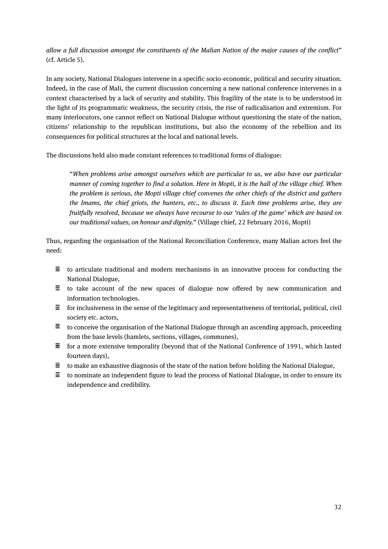*allow a full discussion amongst the constituents of the Malian Nation of the major causes of the conflict*" (cf. Article 5).

In any society, National Dialogues intervene in a specific socio-economic, political and security situation. Indeed, in the case of Mali, the current discussion concerning a new national conference intervenes in a context characterised by a lack of security and stability. This fragility of the state is to be understood in the light of its programmatic weakness, the security crisis, the rise of radicalisation and extremism. For many interlocutors, one cannot reflect on National Dialogue without questioning the state of the nation, citizens' relationship to the republican institutions, but also the economy of the rebellion and its consequences for political structures at the local and national levels.

The discussions held also made constant references to traditional forms of dialogue:

"*When problems arise amongst ourselves which are particular to us, we also have our particular manner of coming together to find a solution. Here in Mopti, it is the hall of the village chief. When the problem is serious, the Mopti village chief convenes the other chiefs of the district and gathers the Imams, the chief griots, the hunters, etc., to discuss it. Each time problems arise, they are fruitfully resolved, because we always have recourse to our 'rules of the game' which are based on our traditional values, on honour and dignity.*" (Village chief, 22 February 2016, Mopti)

Thus, regarding the organisation of the National Reconciliation Conference, many Malian actors feel the need:

- $\equiv$  to articulate traditional and modern mechanisms in an innovative process for conducting the National Dialogue,
- $\equiv$  to take account of the new spaces of dialogue now offered by new communication and information technologies.
- $\equiv$  for inclusiveness in the sense of the legitimacy and representativeness of territorial, political, civil society etc. actors,
- $\equiv$  to conceive the organisation of the National Dialogue through an ascending approach, proceeding from the base levels (hamlets, sections, villages, communes),
- $\equiv$  for a more extensive temporality (beyond that of the National Conference of 1991, which lasted fourteen days),
- $\equiv$  to make an exhaustive diagnosis of the state of the nation before holding the National Dialogue,
- $\equiv$  to nominate an independent figure to lead the process of National Dialogue, in order to ensure its independence and credibility.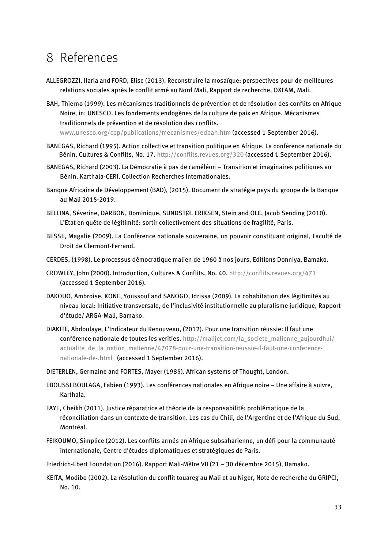## <span id="page-32-0"></span>8 References

- ALLEGROZZI, Ilaria and FORD, Elise (2013). Reconstruire la mosaïque: perspectives pour de meilleures relations sociales après le conflit armé au Nord Mali, Rapport de recherche, OXFAM, Mali.
- BAH, Thierno (1999). Les mécanismes traditionnels de prévention et de résolution des conflits en Afrique Noire, in: UNESCO. Les fondements endogènes de la culture de paix en Afrique. Mécanismes traditionnels de prévention et de résolution des conflits.

[www.unesco.org/cpp/publications/mecanismes/edbah.htm](http://www.unesco.org/cpp/publications/mecanismes/edbah.htm) (accessed 1 September 2016).

- BANEGAS, Richard (1995). Action collective et transition politique en Afrique. La conférence nationale du Bénin, Cultures & Conflits, No. 17. <http://conflits.revues.org/320> (accessed 1 September 2016).
- BANEGAS, Richard (2003). La Démocratie à pas de caméléon Transition et imaginaires politiques au Bénin, Karthala-CERI, Collection Recherches internationales.
- Banque Africaine de Développement (BAD), (2015). Document de stratégie pays du groupe de la Banque au Mali 2015-2019.
- BELLINA, Séverine, DARBON, Dominique, SUNDSTØL ERIKSEN, Stein and OLE, Jacob Sending (2010). L'Etat en quête de légitimité: sortir collectivement des situations de fragilité, Paris.
- BESSE, Magalie (2009). La Conférence nationale souveraine, un pouvoir constituant original, Faculté de Droit de Clermont-Ferrand.
- CERDES, (1998). Le processus démocratique malien de 1960 à nos jours, Editions Donniya, Bamako.
- CROWLEY, John (2000). Introduction, Cultures & Conflits, No. 40.<http://conflits.revues.org/471> (accessed 1 September 2016).
- DAKOUO, Ambroise, KONE, Youssouf and SANOGO, Idrissa (2009). La cohabitation des légitimités au niveau local: Initiative transversale, de l'inclusivité institutionnelle au pluralisme juridique, Rapport d'étude/ ARGA-Mali, Bamako.
- DIAKITE, Abdoulaye, L'Indicateur du Renouveau, (2012). Pour une transition réussie: Il faut une conférence nationale de toutes les verities. [http://malijet.com/la\\_societe\\_malienne\\_aujourdhui/](http://malijet.com/la_societe_malienne_aujourdhui/actualite_de_la_nation_malienne/47078-pour-une-transition-reussie-il-faut-une-conference-nationale-de-.html) [actualite\\_de\\_la\\_nation\\_malienne/47078-pour-une-transition-reussie-il-faut-une-conference](http://malijet.com/la_societe_malienne_aujourdhui/actualite_de_la_nation_malienne/47078-pour-une-transition-reussie-il-faut-une-conference-nationale-de-.html)[nationale-de-.html](http://malijet.com/la_societe_malienne_aujourdhui/actualite_de_la_nation_malienne/47078-pour-une-transition-reussie-il-faut-une-conference-nationale-de-.html) (accessed 1 September 2016).
- DIETERLEN, Germaine and FORTES, Mayer (1985). African systems of Thought, London.
- EBOUSSI BOULAGA, Fabien (1993). Les conférences nationales en Afrique noire Une affaire à suivre, Karthala.
- FAYE, Cheikh (2011). Justice réparatrice et théorie de la responsabilité: problématique de la réconciliation dans un contexte de transition. Les cas du Chili, de l'Argentine et de l'Afrique du Sud, Montréal.
- FEIKOUMO, Simplice (2012). Les conflits armés en Afrique subsaharienne, un défi pour la communauté internationale, Centre d'études diplomatiques et stratégiques de Paris.
- Friedrich-Ebert Foundation (2016). Rapport Mali-Mètre VII (21 30 décembre 2015), Bamako.
- KEITA, Modibo (2002). La résolution du conflit touareg au Mali et au Niger, Note de recherche du GRIPCI, No. 10.